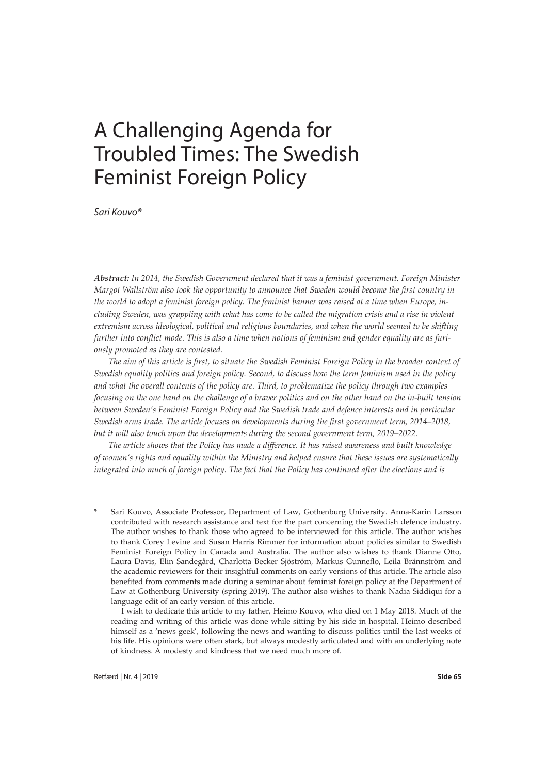*Sari Kouvo\**

*Abstract: In 2014, the Swedish Government declared that it was a feminist government. Foreign Minister Margot Wallström also took the opportunity to announce that Sweden would become the first country in the world to adopt a feminist foreign policy. The feminist banner was raised at a time when Europe, including Sweden, was grappling with what has come to be called the migration crisis and a rise in violent extremism across ideological, political and religious boundaries, and when the world seemed to be shifting further into conflict mode. This is also a time when notions of feminism and gender equality are as furiously promoted as they are contested.*

*The aim of this article is first, to situate the Swedish Feminist Foreign Policy in the broader context of Swedish equality politics and foreign policy. Second, to discuss how the term feminism used in the policy and what the overall contents of the policy are. Third, to problematize the policy through two examples focusing on the one hand on the challenge of a braver politics and on the other hand on the in-built tension between Sweden's Feminist Foreign Policy and the Swedish trade and defence interests and in particular Swedish arms trade. The article focuses on developments during the first government term, 2014–2018, but it will also touch upon the developments during the second government term, 2019–2022.*

*The article shows that the Policy has made a difference. It has raised awareness and built knowledge of women's rights and equality within the Ministry and helped ensure that these issues are systematically integrated into much of foreign policy. The fact that the Policy has continued after the elections and is* 

Sari Kouvo, Associate Professor, Department of Law, Gothenburg University. Anna-Karin Larsson contributed with research assistance and text for the part concerning the Swedish defence industry. The author wishes to thank those who agreed to be interviewed for this article. The author wishes to thank Corey Levine and Susan Harris Rimmer for information about policies similar to Swedish Feminist Foreign Policy in Canada and Australia. The author also wishes to thank Dianne Otto, Laura Davis, Elin Sandegård, Charlotta Becker Sjöström, Markus Gunneflo, Leila Brännström and the academic reviewers for their insightful comments on early versions of this article. The article also benefited from comments made during a seminar about feminist foreign policy at the Department of Law at Gothenburg University (spring 2019). The author also wishes to thank Nadia Siddiqui for a language edit of an early version of this article.

I wish to dedicate this article to my father, Heimo Kouvo, who died on 1 May 2018. Much of the reading and writing of this article was done while sitting by his side in hospital. Heimo described himself as a 'news geek', following the news and wanting to discuss politics until the last weeks of his life. His opinions were often stark, but always modestly articulated and with an underlying note of kindness. A modesty and kindness that we need much more of.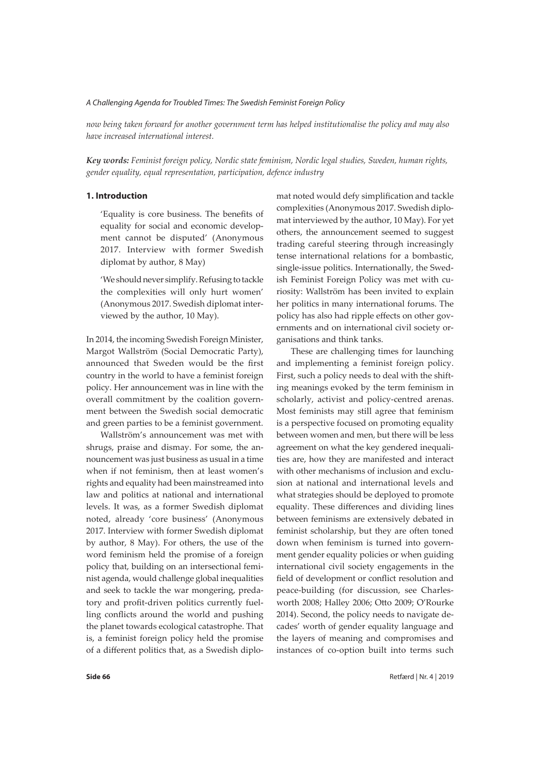*now being taken forward for another government term has helped institutionalise the policy and may also have increased international interest.*

*Key words: Feminist foreign policy, Nordic state feminism, Nordic legal studies, Sweden, human rights, gender equality, equal representation, participation, defence industry*

## **1. Introduction**

'Equality is core business. The benefits of equality for social and economic development cannot be disputed' (Anonymous 2017. Interview with former Swedish diplomat by author, 8 May)

'We should never simplify. Refusing to tackle the complexities will only hurt women' (Anonymous 2017. Swedish diplomat interviewed by the author, 10 May).

In 2014, the incoming Swedish Foreign Minister, Margot Wallström (Social Democratic Party), announced that Sweden would be the first country in the world to have a feminist foreign policy. Her announcement was in line with the overall commitment by the coalition government between the Swedish social democratic and green parties to be a feminist government.

Wallström's announcement was met with shrugs, praise and dismay. For some, the announcement was just business as usual in a time when if not feminism, then at least women's rights and equality had been mainstreamed into law and politics at national and international levels. It was, as a former Swedish diplomat noted, already 'core business' (Anonymous 2017. Interview with former Swedish diplomat by author, 8 May). For others, the use of the word feminism held the promise of a foreign policy that, building on an intersectional feminist agenda, would challenge global inequalities and seek to tackle the war mongering, predatory and profit-driven politics currently fuelling conflicts around the world and pushing the planet towards ecological catastrophe. That is, a feminist foreign policy held the promise of a different politics that, as a Swedish diplomat noted would defy simplification and tackle complexities (Anonymous 2017. Swedish diplomat interviewed by the author, 10 May). For yet others, the announcement seemed to suggest trading careful steering through increasingly tense international relations for a bombastic, single-issue politics. Internationally, the Swedish Feminist Foreign Policy was met with curiosity: Wallström has been invited to explain her politics in many international forums. The policy has also had ripple effects on other governments and on international civil society organisations and think tanks.

These are challenging times for launching and implementing a feminist foreign policy. First, such a policy needs to deal with the shifting meanings evoked by the term feminism in scholarly, activist and policy-centred arenas. Most feminists may still agree that feminism is a perspective focused on promoting equality between women and men, but there will be less agreement on what the key gendered inequalities are, how they are manifested and interact with other mechanisms of inclusion and exclusion at national and international levels and what strategies should be deployed to promote equality. These differences and dividing lines between feminisms are extensively debated in feminist scholarship, but they are often toned down when feminism is turned into government gender equality policies or when guiding international civil society engagements in the field of development or conflict resolution and peace-building (for discussion, see Charlesworth 2008; Halley 2006; Otto 2009; O'Rourke 2014). Second, the policy needs to navigate decades' worth of gender equality language and the layers of meaning and compromises and instances of co-option built into terms such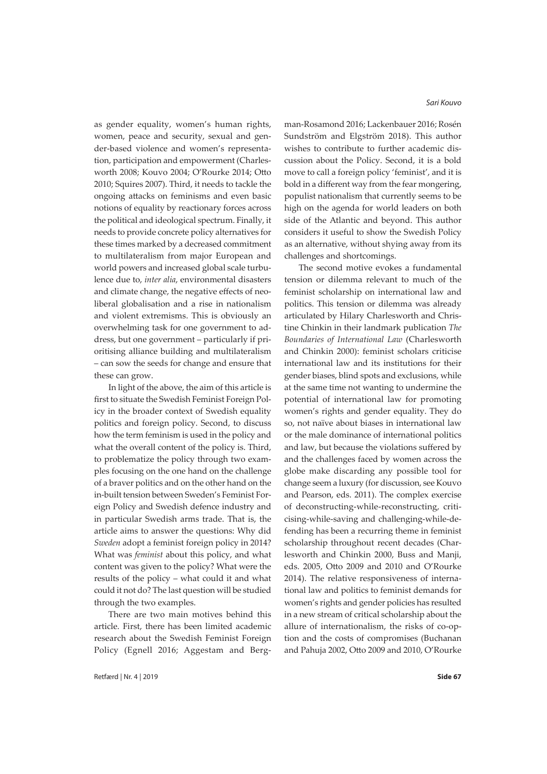as gender equality, women's human rights, women, peace and security, sexual and gender-based violence and women's representation, participation and empowerment (Charlesworth 2008; Kouvo 2004; O'Rourke 2014; Otto 2010; Squires 2007). Third, it needs to tackle the ongoing attacks on feminisms and even basic notions of equality by reactionary forces across the political and ideological spectrum. Finally, it needs to provide concrete policy alternatives for these times marked by a decreased commitment to multilateralism from major European and world powers and increased global scale turbulence due to, *inter alia*, environmental disasters and climate change, the negative effects of neoliberal globalisation and a rise in nationalism and violent extremisms. This is obviously an overwhelming task for one government to address, but one government – particularly if prioritising alliance building and multilateralism – can sow the seeds for change and ensure that these can grow.

In light of the above, the aim of this article is first to situate the Swedish Feminist Foreign Policy in the broader context of Swedish equality politics and foreign policy. Second, to discuss how the term feminism is used in the policy and what the overall content of the policy is. Third, to problematize the policy through two examples focusing on the one hand on the challenge of a braver politics and on the other hand on the in-built tension between Sweden's Feminist Foreign Policy and Swedish defence industry and in particular Swedish arms trade. That is, the article aims to answer the questions: Why did *Sweden* adopt a feminist foreign policy in 2014? What was *feminist* about this policy, and what content was given to the policy? What were the results of the policy – what could it and what could it not do? The last question will be studied through the two examples.

There are two main motives behind this article. First, there has been limited academic research about the Swedish Feminist Foreign Policy (Egnell 2016; Aggestam and Berg*Sari Kouvo*

man-Rosamond 2016; Lackenbauer 2016; Rosén Sundström and Elgström 2018). This author wishes to contribute to further academic discussion about the Policy. Second, it is a bold move to call a foreign policy 'feminist', and it is bold in a different way from the fear mongering, populist nationalism that currently seems to be high on the agenda for world leaders on both side of the Atlantic and beyond. This author considers it useful to show the Swedish Policy as an alternative, without shying away from its challenges and shortcomings.

The second motive evokes a fundamental tension or dilemma relevant to much of the feminist scholarship on international law and politics. This tension or dilemma was already articulated by Hilary Charlesworth and Christine Chinkin in their landmark publication *The Boundaries of International Law* (Charlesworth and Chinkin 2000): feminist scholars criticise international law and its institutions for their gender biases, blind spots and exclusions, while at the same time not wanting to undermine the potential of international law for promoting women's rights and gender equality. They do so, not naïve about biases in international law or the male dominance of international politics and law, but because the violations suffered by and the challenges faced by women across the globe make discarding any possible tool for change seem a luxury (for discussion, see Kouvo and Pearson, eds. 2011). The complex exercise of deconstructing-while-reconstructing, criticising-while-saving and challenging-while-defending has been a recurring theme in feminist scholarship throughout recent decades (Charlesworth and Chinkin 2000, Buss and Manji, eds. 2005, Otto 2009 and 2010 and O'Rourke 2014). The relative responsiveness of international law and politics to feminist demands for women's rights and gender policies has resulted in a new stream of critical scholarship about the allure of internationalism, the risks of co-option and the costs of compromises (Buchanan and Pahuja 2002, Otto 2009 and 2010, O'Rourke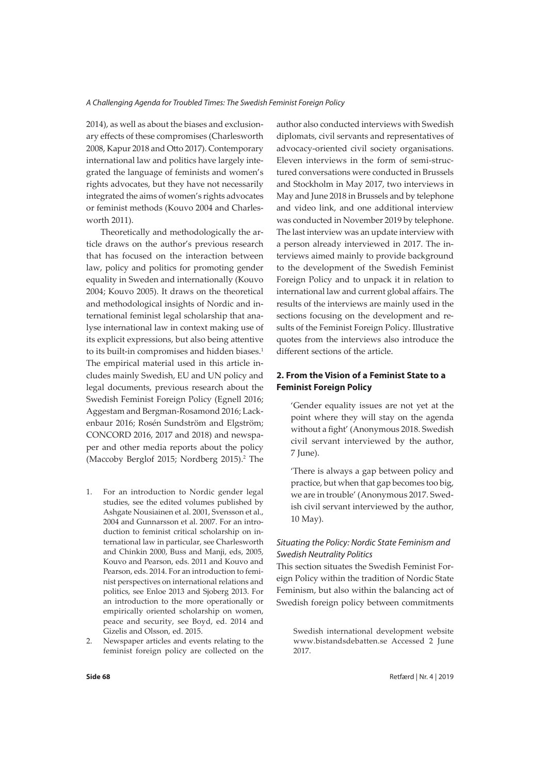2014), as well as about the biases and exclusionary effects of these compromises (Charlesworth 2008, Kapur 2018 and Otto 2017). Contemporary international law and politics have largely integrated the language of feminists and women's rights advocates, but they have not necessarily integrated the aims of women's rights advocates or feminist methods (Kouvo 2004 and Charlesworth 2011).

Theoretically and methodologically the article draws on the author's previous research that has focused on the interaction between law, policy and politics for promoting gender equality in Sweden and internationally (Kouvo 2004; Kouvo 2005). It draws on the theoretical and methodological insights of Nordic and international feminist legal scholarship that analyse international law in context making use of its explicit expressions, but also being attentive to its built-in compromises and hidden biases.<sup>1</sup> The empirical material used in this article includes mainly Swedish, EU and UN policy and legal documents, previous research about the Swedish Feminist Foreign Policy (Egnell 2016; Aggestam and Bergman-Rosamond 2016; Lackenbaur 2016; Rosén Sundström and Elgström; CONCORD 2016, 2017 and 2018) and newspaper and other media reports about the policy (Maccoby Berglof 2015; Nordberg 2015).<sup>2</sup> The

- For an introduction to Nordic gender legal studies, see the edited volumes published by Ashgate Nousiainen et al. 2001, Svensson et al., 2004 and Gunnarsson et al. 2007. For an introduction to feminist critical scholarship on international law in particular, see Charlesworth and Chinkin 2000, Buss and Manji, eds, 2005, Kouvo and Pearson, eds. 2011 and Kouvo and Pearson, eds. 2014. For an introduction to feminist perspectives on international relations and politics, see Enloe 2013 and Sjoberg 2013. For an introduction to the more operationally or empirically oriented scholarship on women, peace and security, see Boyd, ed. 2014 and Gizelis and Olsson, ed. 2015.
- 2. Newspaper articles and events relating to the feminist foreign policy are collected on the

author also conducted interviews with Swedish diplomats, civil servants and representatives of advocacy-oriented civil society organisations. Eleven interviews in the form of semi-structured conversations were conducted in Brussels and Stockholm in May 2017, two interviews in May and June 2018 in Brussels and by telephone and video link, and one additional interview was conducted in November 2019 by telephone. The last interview was an update interview with a person already interviewed in 2017. The interviews aimed mainly to provide background to the development of the Swedish Feminist Foreign Policy and to unpack it in relation to international law and current global affairs. The results of the interviews are mainly used in the sections focusing on the development and results of the Feminist Foreign Policy. Illustrative quotes from the interviews also introduce the different sections of the article.

# **2. From the Vision of a Feminist State to a Feminist Foreign Policy**

'Gender equality issues are not yet at the point where they will stay on the agenda without a fight' (Anonymous 2018. Swedish civil servant interviewed by the author, 7 June).

'There is always a gap between policy and practice, but when that gap becomes too big, we are in trouble' (Anonymous 2017. Swedish civil servant interviewed by the author, 10 May).

## *Situating the Policy: Nordic State Feminism and Swedish Neutrality Politics*

This section situates the Swedish Feminist Foreign Policy within the tradition of Nordic State Feminism, but also within the balancing act of Swedish foreign policy between commitments

Swedish international development website www.bistandsdebatten.se Accessed 2 June 2017.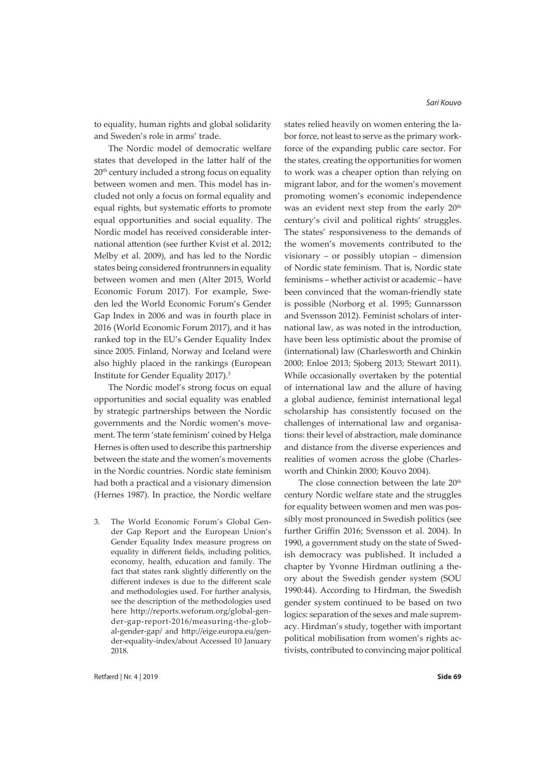to equality, human rights and global solidarity and Sweden's role in arms' trade.

The Nordic model of democratic welfare states that developed in the latter half of the  $20<sup>th</sup>$  century included a strong focus on equality between women and men. This model has included not only a focus on formal equality and equal rights, but systematic efforts to promote equal opportunities and social equality. The Nordic model has received considerable international attention (see further Kvist et al. 2012; Melby et al. 2009), and has led to the Nordic states being considered frontrunners in equality between women and men (Alter 2015, World Economic Forum 2017). For example, Sweden led the World Economic Forum's Gender Gap Index in 2006 and was in fourth place in 2016 (World Economic Forum 2017), and it has ranked top in the EU's Gender Equality Index since 2005. Finland, Norway and Iceland were also highly placed in the rankings (European Institute for Gender Equality 2017).3

The Nordic model's strong focus on equal opportunities and social equality was enabled by strategic partnerships between the Nordic governments and the Nordic women's movement. The term 'state feminism' coined by Helga Hernes is often used to describe this partnership between the state and the women's movements in the Nordic countries. Nordic state feminism had both a practical and a visionary dimension (Hernes 1987). In practice, the Nordic welfare

3. The World Economic Forum's Global Gender Gap Report and the European Union's Gender Equality Index measure progress on equality in different fields, including politics, economy, health, education and family. The fact that states rank slightly differently on the different indexes is due to the different scale and methodologies used. For further analysis, see the description of the methodologies used here http://reports.weforum.org/global-gender-gap-report-2016/measuring-the-global-gender-gap/ and http://eige.europa.eu/gender-equality-index/about Accessed 10 January 2018.

states relied heavily on women entering the labor force, not least to serve as the primary workforce of the expanding public care sector. For the states, creating the opportunities for women to work was a cheaper option than relying on migrant labor, and for the women's movement promoting women's economic independence was an evident next step from the early 20<sup>th</sup> century's civil and political rights' struggles. The states' responsiveness to the demands of the women's movements contributed to the visionary – or possibly utopian – dimension of Nordic state feminism. That is, Nordic state feminisms – whether activist or academic – have been convinced that the woman-friendly state is possible (Norborg et al. 1995; Gunnarsson and Svensson 2012). Feminist scholars of international law, as was noted in the introduction, have been less optimistic about the promise of (international) law (Charlesworth and Chinkin 2000; Enloe 2013; Sjoberg 2013; Stewart 2011). While occasionally overtaken by the potential of international law and the allure of having a global audience, feminist international legal scholarship has consistently focused on the challenges of international law and organisations: their level of abstraction, male dominance and distance from the diverse experiences and realities of women across the globe (Charlesworth and Chinkin 2000; Kouvo 2004).

The close connection between the late 20<sup>th</sup> century Nordic welfare state and the struggles for equality between women and men was possibly most pronounced in Swedish politics (see further Griffin 2016; Svensson et al. 2004). In 1990, a government study on the state of Swedish democracy was published. It included a chapter by Yvonne Hirdman outlining a theory about the Swedish gender system (SOU 1990:44). According to Hirdman, the Swedish gender system continued to be based on two logics: separation of the sexes and male supremacy. Hirdman's study, together with important political mobilisation from women's rights activists, contributed to convincing major political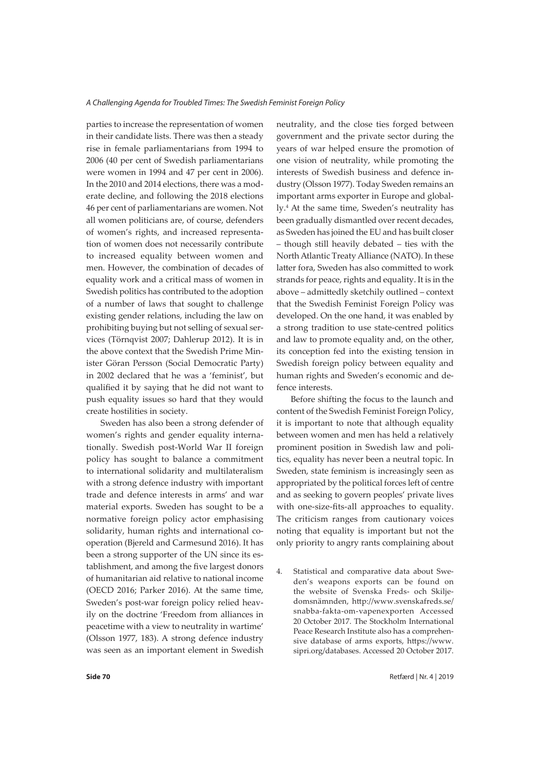parties to increase the representation of women in their candidate lists. There was then a steady rise in female parliamentarians from 1994 to 2006 (40 per cent of Swedish parliamentarians were women in 1994 and 47 per cent in 2006). In the 2010 and 2014 elections, there was a moderate decline, and following the 2018 elections 46 per cent of parliamentarians are women. Not all women politicians are, of course, defenders of women's rights, and increased representation of women does not necessarily contribute to increased equality between women and men. However, the combination of decades of equality work and a critical mass of women in Swedish politics has contributed to the adoption of a number of laws that sought to challenge existing gender relations, including the law on prohibiting buying but not selling of sexual services (Törnqvist 2007; Dahlerup 2012). It is in the above context that the Swedish Prime Minister Göran Persson (Social Democratic Party) in 2002 declared that he was a 'feminist', but qualified it by saying that he did not want to push equality issues so hard that they would create hostilities in society.

Sweden has also been a strong defender of women's rights and gender equality internationally. Swedish post-World War II foreign policy has sought to balance a commitment to international solidarity and multilateralism with a strong defence industry with important trade and defence interests in arms' and war material exports. Sweden has sought to be a normative foreign policy actor emphasising solidarity, human rights and international cooperation (Bjereld and Carmesund 2016). It has been a strong supporter of the UN since its establishment, and among the five largest donors of humanitarian aid relative to national income (OECD 2016; Parker 2016). At the same time, Sweden's post-war foreign policy relied heavily on the doctrine 'Freedom from alliances in peacetime with a view to neutrality in wartime' (Olsson 1977, 183). A strong defence industry was seen as an important element in Swedish

neutrality, and the close ties forged between government and the private sector during the years of war helped ensure the promotion of one vision of neutrality, while promoting the interests of Swedish business and defence industry (Olsson 1977). Today Sweden remains an important arms exporter in Europe and globally.4 At the same time, Sweden's neutrality has been gradually dismantled over recent decades, as Sweden has joined the EU and has built closer – though still heavily debated – ties with the North Atlantic Treaty Alliance (NATO). In these latter fora, Sweden has also committed to work strands for peace, rights and equality. It is in the above – admittedly sketchily outlined – context that the Swedish Feminist Foreign Policy was developed. On the one hand, it was enabled by a strong tradition to use state-centred politics and law to promote equality and, on the other, its conception fed into the existing tension in Swedish foreign policy between equality and human rights and Sweden's economic and defence interests.

Before shifting the focus to the launch and content of the Swedish Feminist Foreign Policy, it is important to note that although equality between women and men has held a relatively prominent position in Swedish law and politics, equality has never been a neutral topic. In Sweden, state feminism is increasingly seen as appropriated by the political forces left of centre and as seeking to govern peoples' private lives with one-size-fits-all approaches to equality. The criticism ranges from cautionary voices noting that equality is important but not the only priority to angry rants complaining about

4. Statistical and comparative data about Sweden's weapons exports can be found on the website of Svenska Freds- och Skiljedomsnämnden, http://www.svenskafreds.se/ snabba-fakta-om-vapenexporten Accessed 20 October 2017. The Stockholm International Peace Research Institute also has a comprehensive database of arms exports, https://www. sipri.org/databases. Accessed 20 October 2017.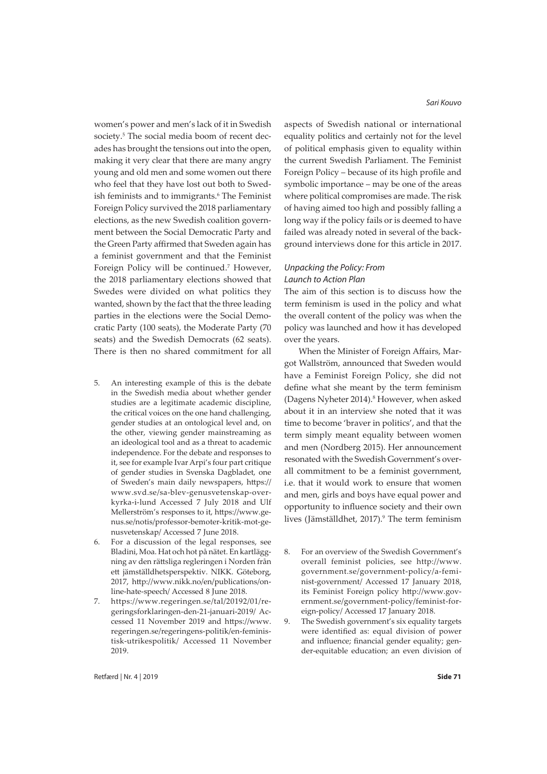women's power and men's lack of it in Swedish society.<sup>5</sup> The social media boom of recent decades has brought the tensions out into the open, making it very clear that there are many angry young and old men and some women out there who feel that they have lost out both to Swedish feminists and to immigrants.<sup>6</sup> The Feminist Foreign Policy survived the 2018 parliamentary elections, as the new Swedish coalition government between the Social Democratic Party and the Green Party affirmed that Sweden again has a feminist government and that the Feminist Foreign Policy will be continued.<sup>7</sup> However, the 2018 parliamentary elections showed that Swedes were divided on what politics they wanted, shown by the fact that the three leading parties in the elections were the Social Democratic Party (100 seats), the Moderate Party (70 seats) and the Swedish Democrats (62 seats). There is then no shared commitment for all

- 5. An interesting example of this is the debate in the Swedish media about whether gender studies are a legitimate academic discipline, the critical voices on the one hand challenging, gender studies at an ontological level and, on the other, viewing gender mainstreaming as an ideological tool and as a threat to academic independence. For the debate and responses to it, see for example Ivar Arpi's four part critique of gender studies in Svenska Dagbladet, one of Sweden's main daily newspapers, https:// www.svd.se/sa-blev-genusvetenskap-overkyrka-i-lund Accessed 7 July 2018 and Ulf Mellerström's responses to it, https://www.genus.se/notis/professor-bemoter-kritik-mot-genusvetenskap/ Accessed 7 June 2018.
- 6. For a discussion of the legal responses, see Bladini, Moa. Hat och hot på nätet. En kartläggning av den rättsliga regleringen i Norden från ett jämställdhetsperspektiv. NIKK. Göteborg, 2017, http://www.nikk.no/en/publications/online-hate-speech/ Accessed 8 June 2018.
- 7. https://www.regeringen.se/tal/20192/01/regeringsforklaringen-den-21-januari-2019/ Accessed 11 November 2019 and https://www. regeringen.se/regeringens-politik/en-feministisk-utrikespolitik/ Accessed 11 November 2019.

*Sari Kouvo*

aspects of Swedish national or international equality politics and certainly not for the level of political emphasis given to equality within the current Swedish Parliament. The Feminist Foreign Policy – because of its high profile and symbolic importance – may be one of the areas where political compromises are made. The risk of having aimed too high and possibly falling a long way if the policy fails or is deemed to have failed was already noted in several of the background interviews done for this article in 2017.

## *Unpacking the Policy: From Launch to Action Plan*

The aim of this section is to discuss how the term feminism is used in the policy and what the overall content of the policy was when the policy was launched and how it has developed over the years.

When the Minister of Foreign Affairs, Margot Wallström, announced that Sweden would have a Feminist Foreign Policy, she did not define what she meant by the term feminism (Dagens Nyheter 2014).<sup>8</sup> However, when asked about it in an interview she noted that it was time to become 'braver in politics', and that the term simply meant equality between women and men (Nordberg 2015). Her announcement resonated with the Swedish Government's overall commitment to be a feminist government, i.e. that it would work to ensure that women and men, girls and boys have equal power and opportunity to influence society and their own lives (Jämställdhet, 2017).<sup>9</sup> The term feminism

9. The Swedish government's six equality targets were identified as: equal division of power and influence; financial gender equality; gender-equitable education; an even division of

<sup>8.</sup> For an overview of the Swedish Government's overall feminist policies, see http://www. government.se/government-policy/a-feminist-government/ Accessed 17 January 2018, its Feminist Foreign policy http://www.government.se/government-policy/feminist-foreign-policy/ Accessed 17 January 2018.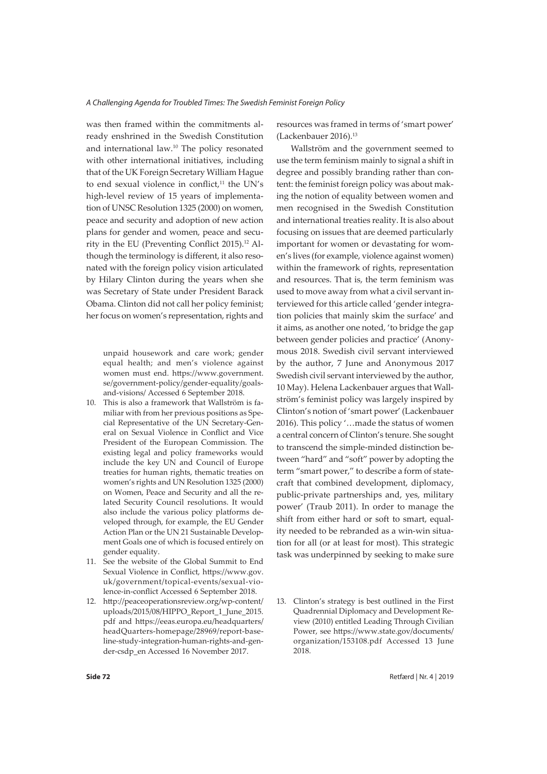was then framed within the commitments already enshrined in the Swedish Constitution and international law.10 The policy resonated with other international initiatives, including that of the UK Foreign Secretary William Hague to end sexual violence in conflict,<sup>11</sup> the UN's high-level review of 15 years of implementation of UNSC Resolution 1325 (2000) on women, peace and security and adoption of new action plans for gender and women, peace and security in the EU (Preventing Conflict 2015).12 Although the terminology is different, it also resonated with the foreign policy vision articulated by Hilary Clinton during the years when she was Secretary of State under President Barack Obama. Clinton did not call her policy feminist; her focus on women's representation, rights and

unpaid housework and care work; gender equal health; and men's violence against women must end. https://www.government. se/government-policy/gender-equality/goalsand-visions/ Accessed 6 September 2018.

- 10. This is also a framework that Wallström is familiar with from her previous positions as Special Representative of the UN Secretary-General on Sexual Violence in Conflict and Vice President of the European Commission. The existing legal and policy frameworks would include the key UN and Council of Europe treaties for human rights, thematic treaties on women's rights and UN Resolution 1325 (2000) on Women, Peace and Security and all the related Security Council resolutions. It would also include the various policy platforms developed through, for example, the EU Gender Action Plan or the UN 21 Sustainable Development Goals one of which is focused entirely on gender equality.
- 11. See the website of the Global Summit to End Sexual Violence in Conflict, https://www.gov. uk/government/topical-events/sexual-violence-in-conflict Accessed 6 September 2018.
- 12. http://peaceoperationsreview.org/wp-content/ uploads/2015/08/HIPPO\_Report\_1\_June\_2015. pdf and https://eeas.europa.eu/headquarters/ headQuarters-homepage/28969/report-baseline-study-integration-human-rights-and-gender-csdp\_en Accessed 16 November 2017.

resources was framed in terms of 'smart power' (Lackenbauer 2016).13

Wallström and the government seemed to use the term feminism mainly to signal a shift in degree and possibly branding rather than content: the feminist foreign policy was about making the notion of equality between women and men recognised in the Swedish Constitution and international treaties reality. It is also about focusing on issues that are deemed particularly important for women or devastating for women's lives (for example, violence against women) within the framework of rights, representation and resources. That is, the term feminism was used to move away from what a civil servant interviewed for this article called 'gender integration policies that mainly skim the surface' and it aims, as another one noted, 'to bridge the gap between gender policies and practice' (Anonymous 2018. Swedish civil servant interviewed by the author, 7 June and Anonymous 2017 Swedish civil servant interviewed by the author, 10 May). Helena Lackenbauer argues that Wallström's feminist policy was largely inspired by Clinton's notion of 'smart power' (Lackenbauer 2016). This policy '…made the status of women a central concern of Clinton's tenure. She sought to transcend the simple-minded distinction between "hard" and "soft" power by adopting the term "smart power," to describe a form of statecraft that combined development, diplomacy, public-private partnerships and, yes, military power' (Traub 2011). In order to manage the shift from either hard or soft to smart, equality needed to be rebranded as a win-win situation for all (or at least for most). This strategic task was underpinned by seeking to make sure

13. Clinton's strategy is best outlined in the First Quadrennial Diplomacy and Development Review (2010) entitled Leading Through Civilian Power, see https://www.state.gov/documents/ organization/153108.pdf Accessed 13 June 2018.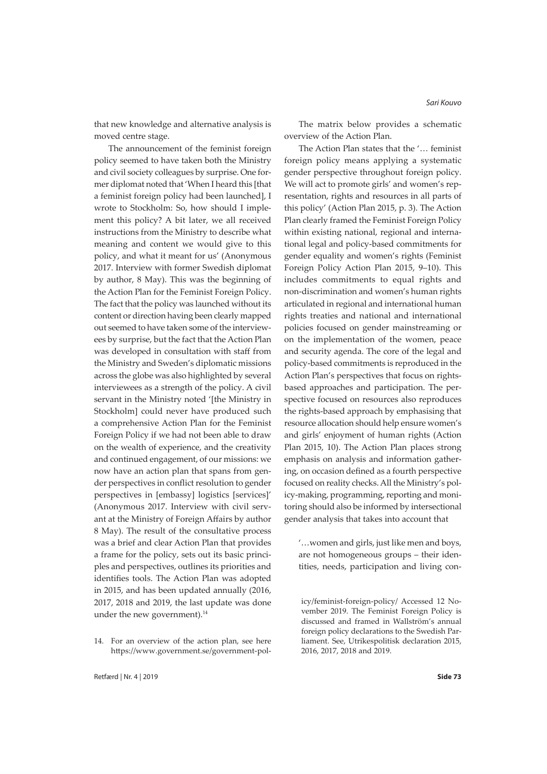that new knowledge and alternative analysis is moved centre stage.

The announcement of the feminist foreign policy seemed to have taken both the Ministry and civil society colleagues by surprise. One former diplomat noted that 'When I heard this [that a feminist foreign policy had been launched], I wrote to Stockholm: So, how should I implement this policy? A bit later, we all received instructions from the Ministry to describe what meaning and content we would give to this policy, and what it meant for us' (Anonymous 2017. Interview with former Swedish diplomat by author, 8 May). This was the beginning of the Action Plan for the Feminist Foreign Policy. The fact that the policy was launched without its content or direction having been clearly mapped out seemed to have taken some of the interviewees by surprise, but the fact that the Action Plan was developed in consultation with staff from the Ministry and Sweden's diplomatic missions across the globe was also highlighted by several interviewees as a strength of the policy. A civil servant in the Ministry noted '[the Ministry in Stockholm] could never have produced such a comprehensive Action Plan for the Feminist Foreign Policy if we had not been able to draw on the wealth of experience, and the creativity and continued engagement, of our missions: we now have an action plan that spans from gender perspectives in conflict resolution to gender perspectives in [embassy] logistics [services]' (Anonymous 2017. Interview with civil servant at the Ministry of Foreign Affairs by author 8 May). The result of the consultative process was a brief and clear Action Plan that provides a frame for the policy, sets out its basic principles and perspectives, outlines its priorities and identifies tools. The Action Plan was adopted in 2015, and has been updated annually (2016, 2017, 2018 and 2019, the last update was done under the new government).<sup>14</sup>

The matrix below provides a schematic overview of the Action Plan.

The Action Plan states that the '… feminist foreign policy means applying a systematic gender perspective throughout foreign policy. We will act to promote girls' and women's representation, rights and resources in all parts of this policy' (Action Plan 2015, p. 3). The Action Plan clearly framed the Feminist Foreign Policy within existing national, regional and international legal and policy-based commitments for gender equality and women's rights (Feminist Foreign Policy Action Plan 2015, 9–10). This includes commitments to equal rights and non-discrimination and women's human rights articulated in regional and international human rights treaties and national and international policies focused on gender mainstreaming or on the implementation of the women, peace and security agenda. The core of the legal and policy-based commitments is reproduced in the Action Plan's perspectives that focus on rightsbased approaches and participation. The perspective focused on resources also reproduces the rights-based approach by emphasising that resource allocation should help ensure women's and girls' enjoyment of human rights (Action Plan 2015, 10). The Action Plan places strong emphasis on analysis and information gathering, on occasion defined as a fourth perspective focused on reality checks.All the Ministry's policy-making, programming, reporting and monitoring should also be informed by intersectional gender analysis that takes into account that

'…women and girls, just like men and boys, are not homogeneous groups – their identities, needs, participation and living con-

<sup>14.</sup> For an overview of the action plan, see here https://www.government.se/government-pol-

icy/feminist-foreign-policy/ Accessed 12 November 2019. The Feminist Foreign Policy is discussed and framed in Wallström's annual foreign policy declarations to the Swedish Parliament. See, Utrikespolitisk declaration 2015, 2016, 2017, 2018 and 2019.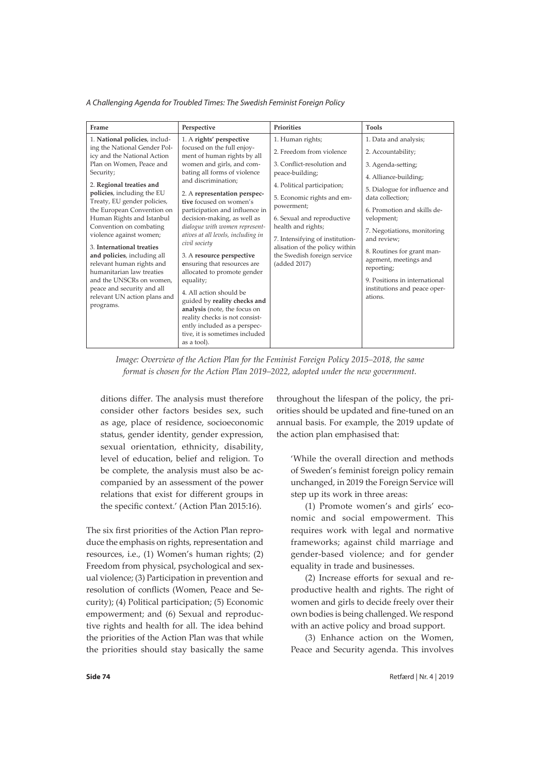| Frame                                                                                                                                                                                                                                                                                                                                                                                                                                                                                                                                                                        | Perspective                                                                                                                                                                                                                                                                                                                                                                                                                                                                                                                                                                                                                                                                                                          | Priorities                                                                                                                                                                                                                                                                                                                                       | Tools                                                                                                                                                                                                                                                                                                                                                                                       |
|------------------------------------------------------------------------------------------------------------------------------------------------------------------------------------------------------------------------------------------------------------------------------------------------------------------------------------------------------------------------------------------------------------------------------------------------------------------------------------------------------------------------------------------------------------------------------|----------------------------------------------------------------------------------------------------------------------------------------------------------------------------------------------------------------------------------------------------------------------------------------------------------------------------------------------------------------------------------------------------------------------------------------------------------------------------------------------------------------------------------------------------------------------------------------------------------------------------------------------------------------------------------------------------------------------|--------------------------------------------------------------------------------------------------------------------------------------------------------------------------------------------------------------------------------------------------------------------------------------------------------------------------------------------------|---------------------------------------------------------------------------------------------------------------------------------------------------------------------------------------------------------------------------------------------------------------------------------------------------------------------------------------------------------------------------------------------|
| 1. National policies, includ-<br>ing the National Gender Pol-<br>icy and the National Action<br>Plan on Women, Peace and<br>Security;<br>2. Regional treaties and<br>policies, including the EU<br>Treaty, EU gender policies,<br>the European Convention on<br>Human Rights and Istanbul<br>Convention on combating<br>violence against women;<br>3. International treaties<br>and policies, including all<br>relevant human rights and<br>humanitarian law treaties<br>and the UNSCRs on women,<br>peace and security and all<br>relevant UN action plans and<br>programs. | 1. A rights' perspective<br>focused on the full enjoy-<br>ment of human rights by all<br>women and girls, and com-<br>bating all forms of violence<br>and discrimination:<br>2. A representation perspec-<br>tive focused on women's<br>participation and influence in<br>decision-making, as well as<br>dialogue with women represent-<br>atives at all levels, including in<br>civil society<br>3. A resource perspective<br>ensuring that resources are<br>allocated to promote gender<br>equality;<br>4. All action should be<br>guided by reality checks and<br>analysis (note, the focus on<br>reality checks is not consist-<br>ently included as a perspec-<br>tive, it is sometimes included<br>as a tool). | 1. Human rights;<br>2. Freedom from violence<br>3. Conflict-resolution and<br>peace-building;<br>4. Political participation;<br>5. Economic rights and em-<br>powerment;<br>6. Sexual and reproductive<br>health and rights;<br>7. Intensifying of institution-<br>alisation of the policy within<br>the Swedish foreign service<br>(added 2017) | 1. Data and analysis;<br>2. Accountability;<br>3. Agenda-setting;<br>4. Alliance-building;<br>5. Dialogue for influence and<br>data collection:<br>6. Promotion and skills de-<br>velopment;<br>7. Negotiations, monitoring<br>and review:<br>8. Routines for grant man-<br>agement, meetings and<br>reporting;<br>9. Positions in international<br>institutions and peace oper-<br>ations. |

*Image: Overview of the Action Plan for the Feminist Foreign Policy 2015–2018, the same format is chosen for the Action Plan 2019–2022, adopted under the new government.*

ditions differ. The analysis must therefore consider other factors besides sex, such as age, place of residence, socioeconomic status, gender identity, gender expression, sexual orientation, ethnicity, disability, level of education, belief and religion. To be complete, the analysis must also be accompanied by an assessment of the power relations that exist for different groups in the specific context.' (Action Plan 2015:16).

The six first priorities of the Action Plan reproduce the emphasis on rights, representation and resources, i.e., (1) Women's human rights; (2) Freedom from physical, psychological and sexual violence; (3) Participation in prevention and resolution of conflicts (Women, Peace and Security); (4) Political participation; (5) Economic empowerment; and (6) Sexual and reproductive rights and health for all. The idea behind the priorities of the Action Plan was that while the priorities should stay basically the same throughout the lifespan of the policy, the priorities should be updated and fine-tuned on an annual basis. For example, the 2019 update of the action plan emphasised that:

'While the overall direction and methods of Sweden's feminist foreign policy remain unchanged, in 2019 the Foreign Service will step up its work in three areas:

(1) Promote women's and girls' economic and social empowerment. This requires work with legal and normative frameworks; against child marriage and gender-based violence; and for gender equality in trade and businesses.

(2) Increase efforts for sexual and reproductive health and rights. The right of women and girls to decide freely over their own bodies is being challenged. We respond with an active policy and broad support.

(3) Enhance action on the Women, Peace and Security agenda. This involves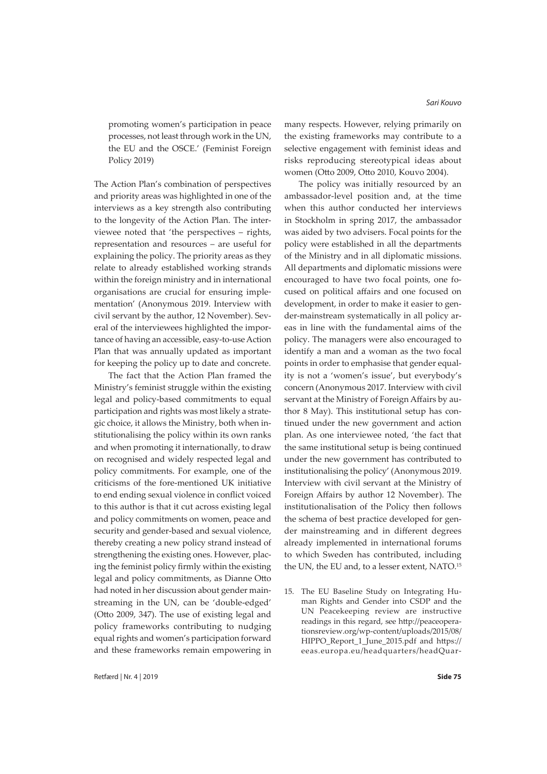promoting women's participation in peace processes, not least through work in the UN, the EU and the OSCE.' (Feminist Foreign Policy 2019)

The Action Plan's combination of perspectives and priority areas was highlighted in one of the interviews as a key strength also contributing to the longevity of the Action Plan. The interviewee noted that 'the perspectives – rights, representation and resources – are useful for explaining the policy. The priority areas as they relate to already established working strands within the foreign ministry and in international organisations are crucial for ensuring implementation' (Anonymous 2019. Interview with civil servant by the author, 12 November). Several of the interviewees highlighted the importance of having an accessible, easy-to-use Action Plan that was annually updated as important for keeping the policy up to date and concrete.

The fact that the Action Plan framed the Ministry's feminist struggle within the existing legal and policy-based commitments to equal participation and rights was most likely a strategic choice, it allows the Ministry, both when institutionalising the policy within its own ranks and when promoting it internationally, to draw on recognised and widely respected legal and policy commitments. For example, one of the criticisms of the fore-mentioned UK initiative to end ending sexual violence in conflict voiced to this author is that it cut across existing legal and policy commitments on women, peace and security and gender-based and sexual violence, thereby creating a new policy strand instead of strengthening the existing ones. However, placing the feminist policy firmly within the existing legal and policy commitments, as Dianne Otto had noted in her discussion about gender mainstreaming in the UN, can be 'double-edged' (Otto 2009, 347). The use of existing legal and policy frameworks contributing to nudging equal rights and women's participation forward and these frameworks remain empowering in many respects. However, relying primarily on the existing frameworks may contribute to a selective engagement with feminist ideas and risks reproducing stereotypical ideas about women (Otto 2009, Otto 2010, Kouvo 2004).

The policy was initially resourced by an ambassador-level position and, at the time when this author conducted her interviews in Stockholm in spring 2017, the ambassador was aided by two advisers. Focal points for the policy were established in all the departments of the Ministry and in all diplomatic missions. All departments and diplomatic missions were encouraged to have two focal points, one focused on political affairs and one focused on development, in order to make it easier to gender-mainstream systematically in all policy areas in line with the fundamental aims of the policy. The managers were also encouraged to identify a man and a woman as the two focal points in order to emphasise that gender equality is not a 'women's issue', but everybody's concern (Anonymous 2017. Interview with civil servant at the Ministry of Foreign Affairs by author 8 May). This institutional setup has continued under the new government and action plan. As one interviewee noted, 'the fact that the same institutional setup is being continued under the new government has contributed to institutionalising the policy' (Anonymous 2019. Interview with civil servant at the Ministry of Foreign Affairs by author 12 November). The institutionalisation of the Policy then follows the schema of best practice developed for gender mainstreaming and in different degrees already implemented in international forums to which Sweden has contributed, including the UN, the EU and, to a lesser extent, NATO.<sup>15</sup>

15. The EU Baseline Study on Integrating Human Rights and Gender into CSDP and the UN Peacekeeping review are instructive readings in this regard, see http://peaceoperationsreview.org/wp-content/uploads/2015/08/ HIPPO\_Report\_1\_June\_2015.pdf and https:// eeas.europa.eu/headquarters/headQuar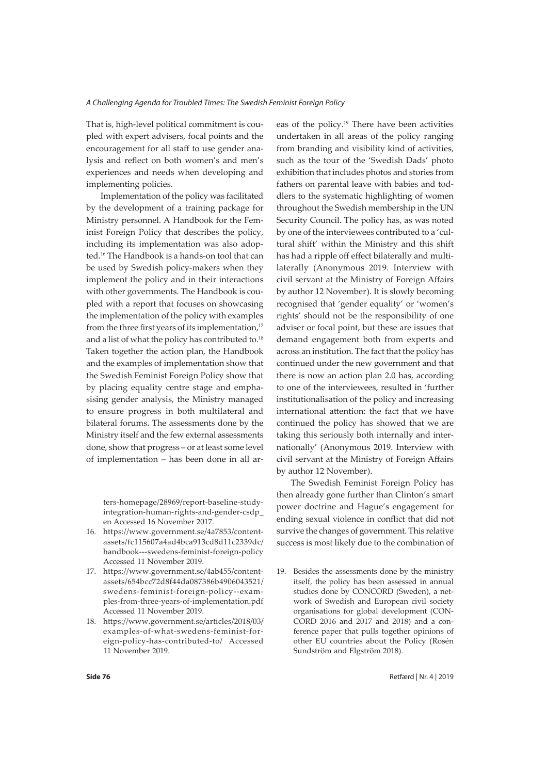That is, high-level political commitment is coupled with expert advisers, focal points and the encouragement for all staff to use gender analysis and reflect on both women's and men's experiences and needs when developing and implementing policies.

Implementation of the policy was facilitated by the development of a training package for Ministry personnel. A Handbook for the Feminist Foreign Policy that describes the policy, including its implementation was also adopted.16 The Handbook is a hands-on tool that can be used by Swedish policy-makers when they implement the policy and in their interactions with other governments. The Handbook is coupled with a report that focuses on showcasing the implementation of the policy with examples from the three first years of its implementation, $17$ and a list of what the policy has contributed to.<sup>18</sup> Taken together the action plan, the Handbook and the examples of implementation show that the Swedish Feminist Foreign Policy show that by placing equality centre stage and emphasising gender analysis, the Ministry managed to ensure progress in both multilateral and bilateral forums. The assessments done by the Ministry itself and the few external assessments done, show that progress – or at least some level of implementation – has been done in all ar-

ters-homepage/28969/report-baseline-studyintegration-human-rights-and-gender-csdp\_ en Accessed 16 November 2017.

- 16. https://www.government.se/4a7853/contentassets/fc115607a4ad4bca913cd8d11c2339dc/ handbook---swedens-feminist-foreign-policy Accessed 11 November 2019.
- 17. https://www.government.se/4ab455/contentassets/654bcc72d8f44da087386b4906043521/ swedens-feminist-foreign-policy--examples-from-three-years-of-implementation.pdf Accessed 11 November 2019.
- 18. https://www.government.se/articles/2018/03/ examples-of-what-swedens-feminist-foreign-policy-has-contributed-to/ Accessed 11 November 2019.

eas of the policy.19 There have been activities undertaken in all areas of the policy ranging from branding and visibility kind of activities, such as the tour of the 'Swedish Dads' photo exhibition that includes photos and stories from fathers on parental leave with babies and toddlers to the systematic highlighting of women throughout the Swedish membership in the UN Security Council. The policy has, as was noted by one of the interviewees contributed to a 'cultural shift' within the Ministry and this shift has had a ripple off effect bilaterally and multilaterally (Anonymous 2019. Interview with civil servant at the Ministry of Foreign Affairs by author 12 November). It is slowly becoming recognised that 'gender equality' or 'women's rights' should not be the responsibility of one adviser or focal point, but these are issues that demand engagement both from experts and across an institution. The fact that the policy has continued under the new government and that there is now an action plan 2.0 has, according to one of the interviewees, resulted in 'further institutionalisation of the policy and increasing international attention: the fact that we have continued the policy has showed that we are taking this seriously both internally and internationally' (Anonymous 2019. Interview with civil servant at the Ministry of Foreign Affairs by author 12 November).

The Swedish Feminist Foreign Policy has then already gone further than Clinton's smart power doctrine and Hague's engagement for ending sexual violence in conflict that did not survive the changes of government. This relative success is most likely due to the combination of

19. Besides the assessments done by the ministry itself, the policy has been assessed in annual studies done by CONCORD (Sweden), a network of Swedish and European civil society organisations for global development (CON-CORD 2016 and 2017 and 2018) and a conference paper that pulls together opinions of other EU countries about the Policy (Rosén Sundström and Elgström 2018).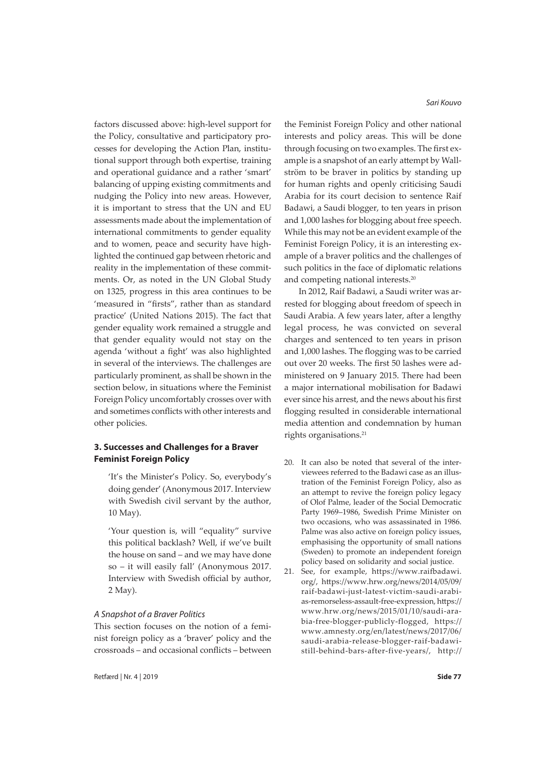factors discussed above: high-level support for the Policy, consultative and participatory processes for developing the Action Plan, institutional support through both expertise, training and operational guidance and a rather 'smart' balancing of upping existing commitments and nudging the Policy into new areas. However, it is important to stress that the UN and EU assessments made about the implementation of international commitments to gender equality and to women, peace and security have highlighted the continued gap between rhetoric and reality in the implementation of these commitments. Or, as noted in the UN Global Study on 1325, progress in this area continues to be 'measured in "firsts", rather than as standard practice' (United Nations 2015). The fact that gender equality work remained a struggle and that gender equality would not stay on the agenda 'without a fight' was also highlighted in several of the interviews. The challenges are particularly prominent, as shall be shown in the section below, in situations where the Feminist Foreign Policy uncomfortably crosses over with and sometimes conflicts with other interests and other policies.

# **3. Successes and Challenges for a Braver Feminist Foreign Policy**

'It's the Minister's Policy. So, everybody's doing gender' (Anonymous 2017. Interview with Swedish civil servant by the author, 10 May).

'Your question is, will "equality" survive this political backlash? Well, if we've built the house on sand – and we may have done so – it will easily fall' (Anonymous 2017. Interview with Swedish official by author, 2 May).

## *A Snapshot of a Braver Politics*

This section focuses on the notion of a feminist foreign policy as a 'braver' policy and the crossroads – and occasional conflicts – between the Feminist Foreign Policy and other national interests and policy areas. This will be done through focusing on two examples. The first example is a snapshot of an early attempt by Wallström to be braver in politics by standing up for human rights and openly criticising Saudi Arabia for its court decision to sentence Raif Badawi, a Saudi blogger, to ten years in prison and 1,000 lashes for blogging about free speech. While this may not be an evident example of the Feminist Foreign Policy, it is an interesting example of a braver politics and the challenges of such politics in the face of diplomatic relations and competing national interests.20

In 2012, Raif Badawi, a Saudi writer was arrested for blogging about freedom of speech in Saudi Arabia. A few years later, after a lengthy legal process, he was convicted on several charges and sentenced to ten years in prison and 1,000 lashes. The flogging was to be carried out over 20 weeks. The first 50 lashes were administered on 9 January 2015. There had been a major international mobilisation for Badawi ever since his arrest, and the news about his first flogging resulted in considerable international media attention and condemnation by human rights organisations.<sup>21</sup>

- 20. It can also be noted that several of the interviewees referred to the Badawi case as an illustration of the Feminist Foreign Policy, also as an attempt to revive the foreign policy legacy of Olof Palme, leader of the Social Democratic Party 1969–1986, Swedish Prime Minister on two occasions, who was assassinated in 1986. Palme was also active on foreign policy issues, emphasising the opportunity of small nations (Sweden) to promote an independent foreign policy based on solidarity and social justice.
- 21. See, for example, https://www.raifbadawi. org/, https://www.hrw.org/news/2014/05/09/ raif-badawi-just-latest-victim-saudi-arabias-remorseless-assault-free-expression, https:// www.hrw.org/news/2015/01/10/saudi-arabia-free-blogger-publicly-flogged, https:// www.amnesty.org/en/latest/news/2017/06/ saudi-arabia-release-blogger-raif-badawistill-behind-bars-after-five-years/, http://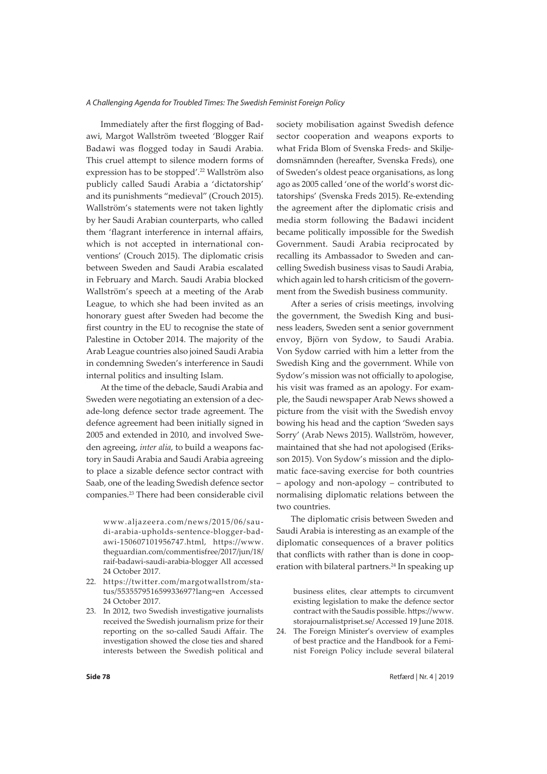Immediately after the first flogging of Badawi, Margot Wallström tweeted 'Blogger Raif Badawi was flogged today in Saudi Arabia. This cruel attempt to silence modern forms of expression has to be stopped'.22 Wallström also publicly called Saudi Arabia a 'dictatorship' and its punishments "medieval" (Crouch 2015). Wallström's statements were not taken lightly by her Saudi Arabian counterparts, who called them 'flagrant interference in internal affairs, which is not accepted in international conventions' (Crouch 2015). The diplomatic crisis between Sweden and Saudi Arabia escalated in February and March. Saudi Arabia blocked Wallström's speech at a meeting of the Arab League, to which she had been invited as an honorary guest after Sweden had become the first country in the EU to recognise the state of Palestine in October 2014. The majority of the Arab League countries also joined Saudi Arabia in condemning Sweden's interference in Saudi internal politics and insulting Islam.

At the time of the debacle, Saudi Arabia and Sweden were negotiating an extension of a decade-long defence sector trade agreement. The defence agreement had been initially signed in 2005 and extended in 2010, and involved Sweden agreeing, *inter alia*, to build a weapons factory in Saudi Arabia and Saudi Arabia agreeing to place a sizable defence sector contract with Saab, one of the leading Swedish defence sector companies.23 There had been considerable civil

www.aljazeera.com/news/2015/06/saudi-arabia-upholds-sentence-blogger-badawi-150607101956747.html, https://www. theguardian.com/commentisfree/2017/jun/18/ raif-badawi-saudi-arabia-blogger All accessed 24 October 2017.

- 22. https://twitter.com/margotwallstrom/status/553557951659933697?lang=en Accessed 24 October 2017.
- 23. In 2012, two Swedish investigative journalists received the Swedish journalism prize for their reporting on the so-called Saudi Affair. The investigation showed the close ties and shared interests between the Swedish political and

society mobilisation against Swedish defence sector cooperation and weapons exports to what Frida Blom of Svenska Freds- and Skiljedomsnämnden (hereafter, Svenska Freds), one of Sweden's oldest peace organisations, as long ago as 2005 called 'one of the world's worst dictatorships' (Svenska Freds 2015). Re-extending the agreement after the diplomatic crisis and media storm following the Badawi incident became politically impossible for the Swedish Government. Saudi Arabia reciprocated by recalling its Ambassador to Sweden and cancelling Swedish business visas to Saudi Arabia, which again led to harsh criticism of the government from the Swedish business community.

After a series of crisis meetings, involving the government, the Swedish King and business leaders, Sweden sent a senior government envoy, Björn von Sydow, to Saudi Arabia. Von Sydow carried with him a letter from the Swedish King and the government. While von Sydow's mission was not officially to apologise, his visit was framed as an apology. For example, the Saudi newspaper Arab News showed a picture from the visit with the Swedish envoy bowing his head and the caption 'Sweden says Sorry' (Arab News 2015). Wallström, however, maintained that she had not apologised (Eriksson 2015). Von Sydow's mission and the diplomatic face-saving exercise for both countries – apology and non-apology – contributed to normalising diplomatic relations between the two countries.

The diplomatic crisis between Sweden and Saudi Arabia is interesting as an example of the diplomatic consequences of a braver politics that conflicts with rather than is done in cooperation with bilateral partners.<sup>24</sup> In speaking up

business elites, clear attempts to circumvent existing legislation to make the defence sector contract with the Saudis possible. https://www. storajournalistpriset.se/ Accessed 19 June 2018.

24. The Foreign Minister's overview of examples of best practice and the Handbook for a Feminist Foreign Policy include several bilateral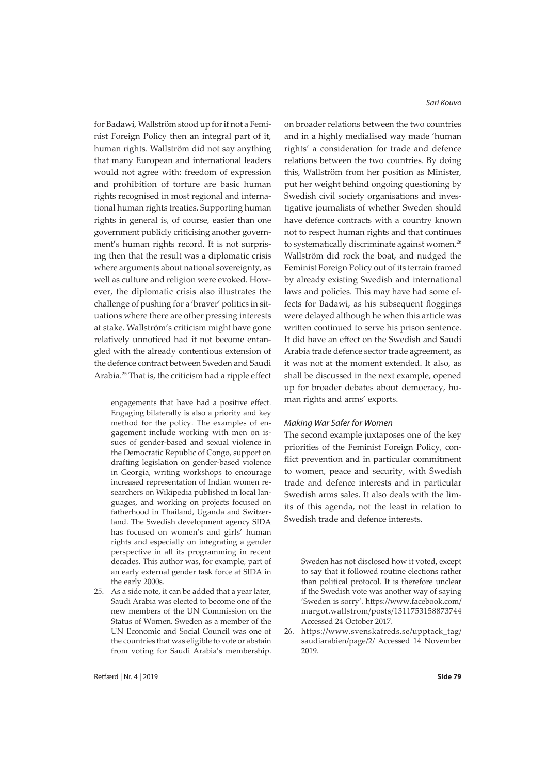for Badawi, Wallström stood up for if not a Feminist Foreign Policy then an integral part of it, human rights. Wallström did not say anything that many European and international leaders would not agree with: freedom of expression and prohibition of torture are basic human rights recognised in most regional and international human rights treaties. Supporting human rights in general is, of course, easier than one government publicly criticising another government's human rights record. It is not surprising then that the result was a diplomatic crisis where arguments about national sovereignty, as well as culture and religion were evoked. However, the diplomatic crisis also illustrates the challenge of pushing for a 'braver' politics in situations where there are other pressing interests at stake. Wallström's criticism might have gone relatively unnoticed had it not become entangled with the already contentious extension of the defence contract between Sweden and Saudi Arabia.25 That is, the criticism had a ripple effect

engagements that have had a positive effect. Engaging bilaterally is also a priority and key method for the policy. The examples of engagement include working with men on issues of gender-based and sexual violence in the Democratic Republic of Congo, support on drafting legislation on gender-based violence in Georgia, writing workshops to encourage increased representation of Indian women researchers on Wikipedia published in local languages, and working on projects focused on fatherhood in Thailand, Uganda and Switzerland. The Swedish development agency SIDA has focused on women's and girls' human rights and especially on integrating a gender perspective in all its programming in recent decades. This author was, for example, part of an early external gender task force at SIDA in the early 2000s.

25. As a side note, it can be added that a year later, Saudi Arabia was elected to become one of the new members of the UN Commission on the Status of Women. Sweden as a member of the UN Economic and Social Council was one of the countries that was eligible to vote or abstain from voting for Saudi Arabia's membership. *Sari Kouvo*

on broader relations between the two countries and in a highly medialised way made 'human rights' a consideration for trade and defence relations between the two countries. By doing this, Wallström from her position as Minister, put her weight behind ongoing questioning by Swedish civil society organisations and investigative journalists of whether Sweden should have defence contracts with a country known not to respect human rights and that continues to systematically discriminate against women.<sup>26</sup> Wallström did rock the boat, and nudged the Feminist Foreign Policy out of its terrain framed by already existing Swedish and international laws and policies. This may have had some effects for Badawi, as his subsequent floggings were delayed although he when this article was written continued to serve his prison sentence. It did have an effect on the Swedish and Saudi Arabia trade defence sector trade agreement, as it was not at the moment extended. It also, as shall be discussed in the next example, opened up for broader debates about democracy, human rights and arms' exports.

## *Making War Safer for Women*

The second example juxtaposes one of the key priorities of the Feminist Foreign Policy, conflict prevention and in particular commitment to women, peace and security, with Swedish trade and defence interests and in particular Swedish arms sales. It also deals with the limits of this agenda, not the least in relation to Swedish trade and defence interests.

Sweden has not disclosed how it voted, except to say that it followed routine elections rather than political protocol. It is therefore unclear if the Swedish vote was another way of saying 'Sweden is sorry'. https://www.facebook.com/ margot.wallstrom/posts/1311753158873744 Accessed 24 October 2017.

26. https://www.svenskafreds.se/upptack\_tag/ saudiarabien/page/2/ Accessed 14 November 2019.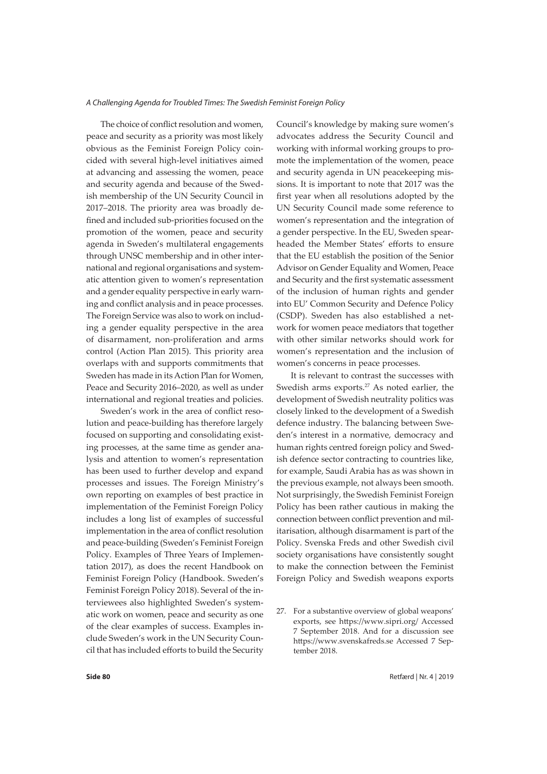The choice of conflict resolution and women, peace and security as a priority was most likely obvious as the Feminist Foreign Policy coincided with several high-level initiatives aimed at advancing and assessing the women, peace and security agenda and because of the Swedish membership of the UN Security Council in 2017–2018. The priority area was broadly defined and included sub-priorities focused on the promotion of the women, peace and security agenda in Sweden's multilateral engagements through UNSC membership and in other international and regional organisations and systematic attention given to women's representation and a gender equality perspective in early warning and conflict analysis and in peace processes. The Foreign Service was also to work on including a gender equality perspective in the area of disarmament, non-proliferation and arms control (Action Plan 2015). This priority area overlaps with and supports commitments that Sweden has made in its Action Plan for Women, Peace and Security 2016–2020, as well as under international and regional treaties and policies.

Sweden's work in the area of conflict resolution and peace-building has therefore largely focused on supporting and consolidating existing processes, at the same time as gender analysis and attention to women's representation has been used to further develop and expand processes and issues. The Foreign Ministry's own reporting on examples of best practice in implementation of the Feminist Foreign Policy includes a long list of examples of successful implementation in the area of conflict resolution and peace-building (Sweden's Feminist Foreign Policy. Examples of Three Years of Implementation 2017), as does the recent Handbook on Feminist Foreign Policy (Handbook. Sweden's Feminist Foreign Policy 2018). Several of the interviewees also highlighted Sweden's systematic work on women, peace and security as one of the clear examples of success. Examples include Sweden's work in the UN Security Council that has included efforts to build the Security

Council's knowledge by making sure women's advocates address the Security Council and working with informal working groups to promote the implementation of the women, peace and security agenda in UN peacekeeping missions. It is important to note that 2017 was the first year when all resolutions adopted by the UN Security Council made some reference to women's representation and the integration of a gender perspective. In the EU, Sweden spearheaded the Member States' efforts to ensure that the EU establish the position of the Senior Advisor on Gender Equality and Women, Peace and Security and the first systematic assessment of the inclusion of human rights and gender into EU' Common Security and Defence Policy (CSDP). Sweden has also established a network for women peace mediators that together with other similar networks should work for women's representation and the inclusion of women's concerns in peace processes.

It is relevant to contrast the successes with Swedish arms exports.<sup>27</sup> As noted earlier, the development of Swedish neutrality politics was closely linked to the development of a Swedish defence industry. The balancing between Sweden's interest in a normative, democracy and human rights centred foreign policy and Swedish defence sector contracting to countries like, for example, Saudi Arabia has as was shown in the previous example, not always been smooth. Not surprisingly, the Swedish Feminist Foreign Policy has been rather cautious in making the connection between conflict prevention and militarisation, although disarmament is part of the Policy. Svenska Freds and other Swedish civil society organisations have consistently sought to make the connection between the Feminist Foreign Policy and Swedish weapons exports

27. For a substantive overview of global weapons' exports, see https://www.sipri.org/ Accessed 7 September 2018. And for a discussion see https://www.svenskafreds.se Accessed 7 September 2018.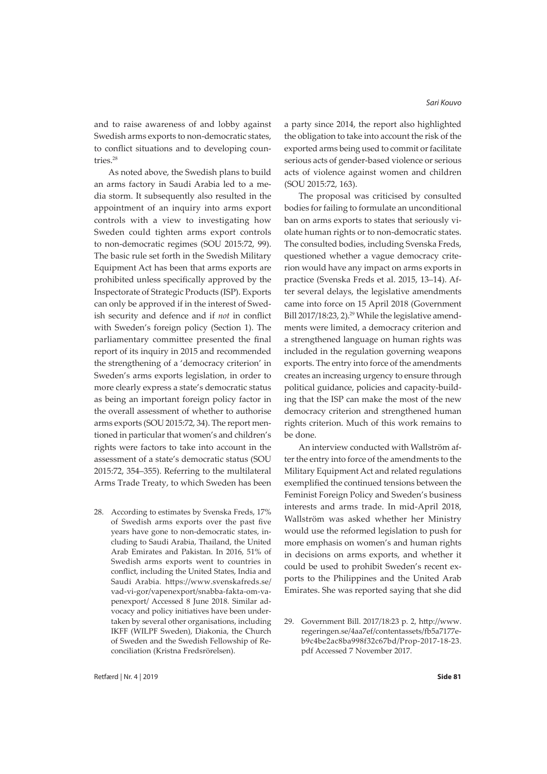and to raise awareness of and lobby against Swedish arms exports to non-democratic states, to conflict situations and to developing countries.28

As noted above, the Swedish plans to build an arms factory in Saudi Arabia led to a media storm. It subsequently also resulted in the appointment of an inquiry into arms export controls with a view to investigating how Sweden could tighten arms export controls to non-democratic regimes (SOU 2015:72, 99). The basic rule set forth in the Swedish Military Equipment Act has been that arms exports are prohibited unless specifically approved by the Inspectorate of Strategic Products (ISP). Exports can only be approved if in the interest of Swedish security and defence and if *not* in conflict with Sweden's foreign policy (Section 1). The parliamentary committee presented the final report of its inquiry in 2015 and recommended the strengthening of a 'democracy criterion' in Sweden's arms exports legislation, in order to more clearly express a state's democratic status as being an important foreign policy factor in the overall assessment of whether to authorise arms exports (SOU 2015:72, 34). The report mentioned in particular that women's and children's rights were factors to take into account in the assessment of a state's democratic status (SOU 2015:72, 354–355). Referring to the multilateral Arms Trade Treaty, to which Sweden has been

28. According to estimates by Svenska Freds, 17% of Swedish arms exports over the past five years have gone to non-democratic states, including to Saudi Arabia, Thailand, the United Arab Emirates and Pakistan. In 2016, 51% of Swedish arms exports went to countries in conflict, including the United States, India and Saudi Arabia. https://www.svenskafreds.se/ vad-vi-gor/vapenexport/snabba-fakta-om-vapenexport/ Accessed 8 June 2018. Similar advocacy and policy initiatives have been undertaken by several other organisations, including IKFF (WILPF Sweden), Diakonia, the Church of Sweden and the Swedish Fellowship of Reconciliation (Kristna Fredsrörelsen).

a party since 2014, the report also highlighted the obligation to take into account the risk of the exported arms being used to commit or facilitate serious acts of gender-based violence or serious acts of violence against women and children (SOU 2015:72, 163).

The proposal was criticised by consulted bodies for failing to formulate an unconditional ban on arms exports to states that seriously violate human rights or to non-democratic states. The consulted bodies, including Svenska Freds, questioned whether a vague democracy criterion would have any impact on arms exports in practice (Svenska Freds et al. 2015, 13–14). After several delays, the legislative amendments came into force on 15 April 2018 (Government Bill 2017/18:23, 2).<sup>29</sup> While the legislative amendments were limited, a democracy criterion and a strengthened language on human rights was included in the regulation governing weapons exports. The entry into force of the amendments creates an increasing urgency to ensure through political guidance, policies and capacity-building that the ISP can make the most of the new democracy criterion and strengthened human rights criterion. Much of this work remains to be done.

An interview conducted with Wallström after the entry into force of the amendments to the Military Equipment Act and related regulations exemplified the continued tensions between the Feminist Foreign Policy and Sweden's business interests and arms trade. In mid-April 2018, Wallström was asked whether her Ministry would use the reformed legislation to push for more emphasis on women's and human rights in decisions on arms exports, and whether it could be used to prohibit Sweden's recent exports to the Philippines and the United Arab Emirates. She was reported saying that she did

29. Government Bill. 2017/18:23 p. 2, http://www. regeringen.se/4aa7ef/contentassets/fb5a7177eb9c4be2ac8ba998f32c67bd/Prop-2017-18-23. pdf Accessed 7 November 2017.

Retfærd | Nr. 4 | 2019 **Side 81**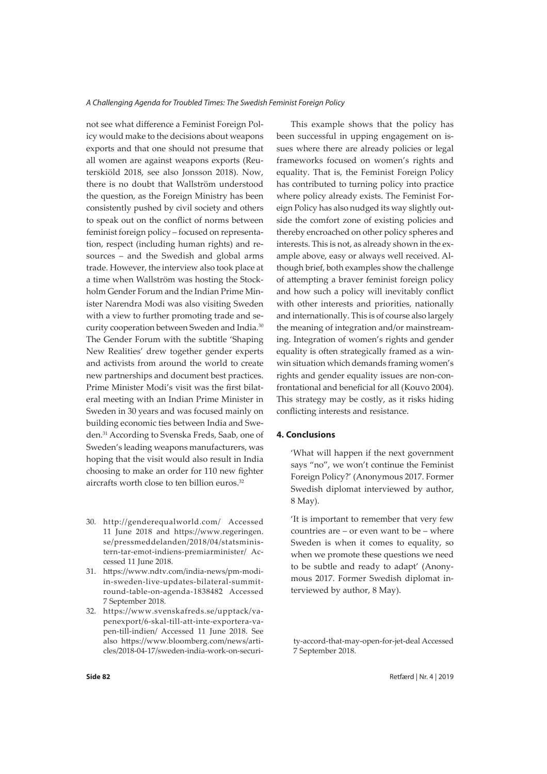not see what difference a Feminist Foreign Policy would make to the decisions about weapons exports and that one should not presume that all women are against weapons exports (Reuterskiöld 2018, see also Jonsson 2018). Now, there is no doubt that Wallström understood the question, as the Foreign Ministry has been consistently pushed by civil society and others to speak out on the conflict of norms between feminist foreign policy – focused on representation, respect (including human rights) and resources – and the Swedish and global arms trade. However, the interview also took place at a time when Wallström was hosting the Stockholm Gender Forum and the Indian Prime Minister Narendra Modi was also visiting Sweden with a view to further promoting trade and security cooperation between Sweden and India.30 The Gender Forum with the subtitle 'Shaping New Realities' drew together gender experts and activists from around the world to create new partnerships and document best practices. Prime Minister Modi's visit was the first bilateral meeting with an Indian Prime Minister in Sweden in 30 years and was focused mainly on building economic ties between India and Sweden.31 According to Svenska Freds, Saab, one of Sweden's leading weapons manufacturers, was hoping that the visit would also result in India choosing to make an order for 110 new fighter aircrafts worth close to ten billion euros.<sup>32</sup>

- 30. http://genderequalworld.com/ Accessed 11 June 2018 and https://www.regeringen. se/pressmeddelanden/2018/04/statsministern-tar-emot-indiens-premiarminister/ Accessed 11 June 2018.
- 31. https://www.ndtv.com/india-news/pm-modiin-sweden-live-updates-bilateral-summitround-table-on-agenda-1838482 Accessed 7 September 2018.
- 32. https://www.svenskafreds.se/upptack/vapenexport/6-skal-till-att-inte-exportera-vapen-till-indien/ Accessed 11 June 2018. See also https://www.bloomberg.com/news/articles/2018-04-17/sweden-india-work-on-securi-

This example shows that the policy has been successful in upping engagement on issues where there are already policies or legal frameworks focused on women's rights and equality. That is, the Feminist Foreign Policy has contributed to turning policy into practice where policy already exists. The Feminist Foreign Policy has also nudged its way slightly outside the comfort zone of existing policies and thereby encroached on other policy spheres and interests. This is not, as already shown in the example above, easy or always well received. Although brief, both examples show the challenge of attempting a braver feminist foreign policy and how such a policy will inevitably conflict with other interests and priorities, nationally and internationally. This is of course also largely the meaning of integration and/or mainstreaming. Integration of women's rights and gender equality is often strategically framed as a winwin situation which demands framing women's rights and gender equality issues are non-confrontational and beneficial for all (Kouvo 2004). This strategy may be costly, as it risks hiding conflicting interests and resistance.

## **4. Conclusions**

'What will happen if the next government says "no", we won't continue the Feminist Foreign Policy?' (Anonymous 2017. Former Swedish diplomat interviewed by author, 8 May).

'It is important to remember that very few countries are – or even want to be – where Sweden is when it comes to equality, so when we promote these questions we need to be subtle and ready to adapt' (Anonymous 2017. Former Swedish diplomat interviewed by author, 8 May).

ty-accord-that-may-open-for-jet-deal Accessed 7 September 2018.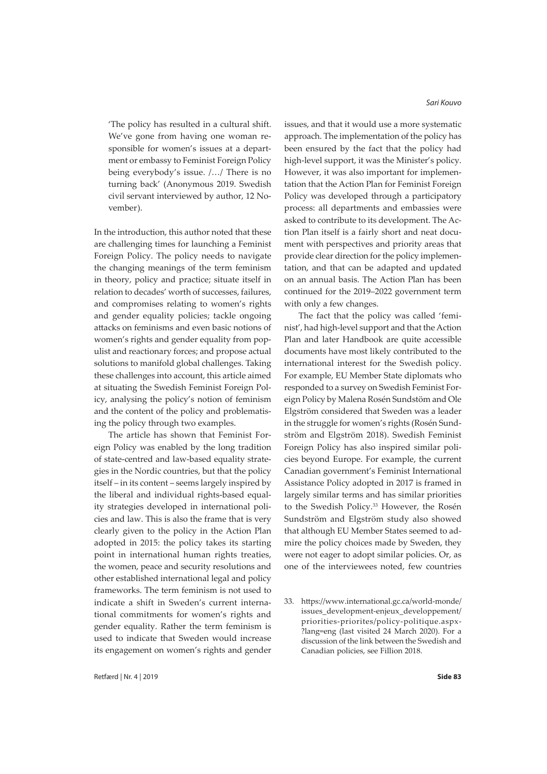'The policy has resulted in a cultural shift. We've gone from having one woman responsible for women's issues at a department or embassy to Feminist Foreign Policy being everybody's issue. /…/ There is no turning back' (Anonymous 2019. Swedish civil servant interviewed by author, 12 November).

In the introduction, this author noted that these are challenging times for launching a Feminist Foreign Policy. The policy needs to navigate the changing meanings of the term feminism in theory, policy and practice; situate itself in relation to decades' worth of successes, failures, and compromises relating to women's rights and gender equality policies; tackle ongoing attacks on feminisms and even basic notions of women's rights and gender equality from populist and reactionary forces; and propose actual solutions to manifold global challenges. Taking these challenges into account, this article aimed at situating the Swedish Feminist Foreign Policy, analysing the policy's notion of feminism and the content of the policy and problematising the policy through two examples.

The article has shown that Feminist Foreign Policy was enabled by the long tradition of state-centred and law-based equality strategies in the Nordic countries, but that the policy itself – in its content – seems largely inspired by the liberal and individual rights-based equality strategies developed in international policies and law. This is also the frame that is very clearly given to the policy in the Action Plan adopted in 2015: the policy takes its starting point in international human rights treaties, the women, peace and security resolutions and other established international legal and policy frameworks. The term feminism is not used to indicate a shift in Sweden's current international commitments for women's rights and gender equality. Rather the term feminism is used to indicate that Sweden would increase its engagement on women's rights and gender *Sari Kouvo*

issues, and that it would use a more systematic approach. The implementation of the policy has been ensured by the fact that the policy had high-level support, it was the Minister's policy. However, it was also important for implementation that the Action Plan for Feminist Foreign Policy was developed through a participatory process: all departments and embassies were asked to contribute to its development. The Action Plan itself is a fairly short and neat document with perspectives and priority areas that provide clear direction for the policy implementation, and that can be adapted and updated on an annual basis. The Action Plan has been continued for the 2019–2022 government term with only a few changes.

The fact that the policy was called 'feminist', had high-level support and that the Action Plan and later Handbook are quite accessible documents have most likely contributed to the international interest for the Swedish policy. For example, EU Member State diplomats who responded to a survey on Swedish Feminist Foreign Policy by Malena Rosén Sundstöm and Ole Elgström considered that Sweden was a leader in the struggle for women's rights (Rosén Sundström and Elgström 2018). Swedish Feminist Foreign Policy has also inspired similar policies beyond Europe. For example, the current Canadian government's Feminist International Assistance Policy adopted in 2017 is framed in largely similar terms and has similar priorities to the Swedish Policy.<sup>33</sup> However, the Rosén Sundström and Elgström study also showed that although EU Member States seemed to admire the policy choices made by Sweden, they were not eager to adopt similar policies. Or, as one of the interviewees noted, few countries

<sup>33.</sup> https://www.international.gc.ca/world-monde/ issues\_development-enjeux\_developpement/ priorities-priorites/policy-politique.aspx- ?lang=eng (last visited 24 March 2020). For a discussion of the link between the Swedish and Canadian policies, see Fillion 2018.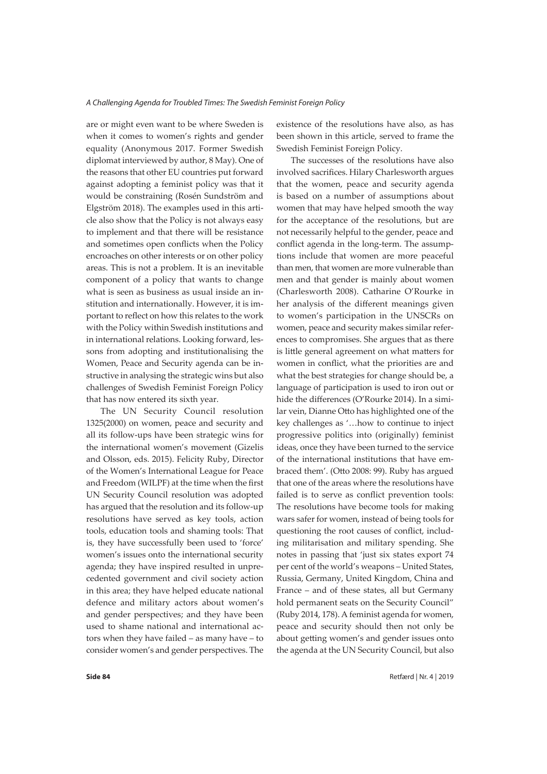are or might even want to be where Sweden is when it comes to women's rights and gender equality (Anonymous 2017. Former Swedish diplomat interviewed by author, 8 May). One of the reasons that other EU countries put forward against adopting a feminist policy was that it would be constraining (Rosén Sundström and Elgström 2018). The examples used in this article also show that the Policy is not always easy to implement and that there will be resistance and sometimes open conflicts when the Policy encroaches on other interests or on other policy areas. This is not a problem. It is an inevitable component of a policy that wants to change what is seen as business as usual inside an institution and internationally. However, it is important to reflect on how this relates to the work with the Policy within Swedish institutions and in international relations. Looking forward, lessons from adopting and institutionalising the Women, Peace and Security agenda can be instructive in analysing the strategic wins but also challenges of Swedish Feminist Foreign Policy that has now entered its sixth year.

The UN Security Council resolution 1325(2000) on women, peace and security and all its follow-ups have been strategic wins for the international women's movement (Gizelis and Olsson, eds. 2015). Felicity Ruby, Director of the Women's International League for Peace and Freedom (WILPF) at the time when the first UN Security Council resolution was adopted has argued that the resolution and its follow-up resolutions have served as key tools, action tools, education tools and shaming tools: That is, they have successfully been used to 'force' women's issues onto the international security agenda; they have inspired resulted in unprecedented government and civil society action in this area; they have helped educate national defence and military actors about women's and gender perspectives; and they have been used to shame national and international actors when they have failed – as many have – to consider women's and gender perspectives. The

existence of the resolutions have also, as has been shown in this article, served to frame the Swedish Feminist Foreign Policy.

The successes of the resolutions have also involved sacrifices. Hilary Charlesworth argues that the women, peace and security agenda is based on a number of assumptions about women that may have helped smooth the way for the acceptance of the resolutions, but are not necessarily helpful to the gender, peace and conflict agenda in the long-term. The assumptions include that women are more peaceful than men, that women are more vulnerable than men and that gender is mainly about women (Charlesworth 2008). Catharine O'Rourke in her analysis of the different meanings given to women's participation in the UNSCRs on women, peace and security makes similar references to compromises. She argues that as there is little general agreement on what matters for women in conflict, what the priorities are and what the best strategies for change should be, a language of participation is used to iron out or hide the differences (O'Rourke 2014). In a similar vein, Dianne Otto has highlighted one of the key challenges as '…how to continue to inject progressive politics into (originally) feminist ideas, once they have been turned to the service of the international institutions that have embraced them'. (Otto 2008: 99). Ruby has argued that one of the areas where the resolutions have failed is to serve as conflict prevention tools: The resolutions have become tools for making wars safer for women, instead of being tools for questioning the root causes of conflict, including militarisation and military spending. She notes in passing that 'just six states export 74 per cent of the world's weapons – United States, Russia, Germany, United Kingdom, China and France – and of these states, all but Germany hold permanent seats on the Security Council" (Ruby 2014, 178). A feminist agenda for women, peace and security should then not only be about getting women's and gender issues onto the agenda at the UN Security Council, but also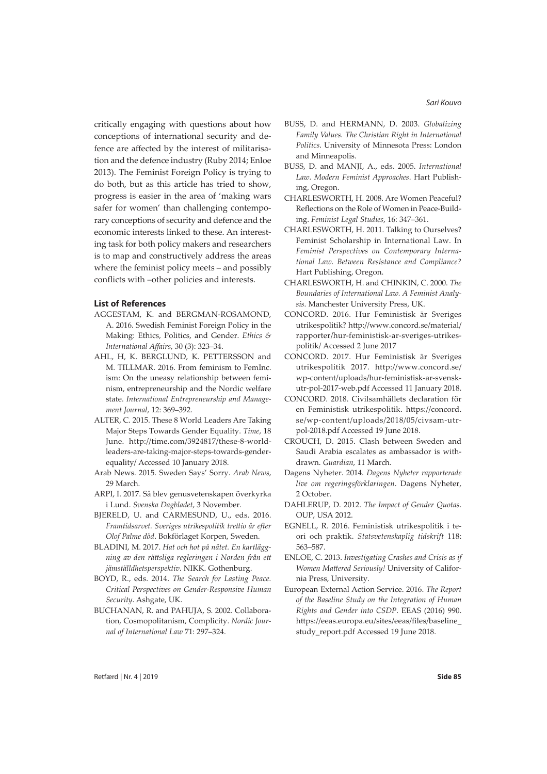critically engaging with questions about how conceptions of international security and defence are affected by the interest of militarisation and the defence industry (Ruby 2014; Enloe 2013). The Feminist Foreign Policy is trying to do both, but as this article has tried to show, progress is easier in the area of 'making wars safer for women' than challenging contemporary conceptions of security and defence and the economic interests linked to these. An interesting task for both policy makers and researchers is to map and constructively address the areas where the feminist policy meets – and possibly conflicts with –other policies and interests.

#### **List of References**

- AGGESTAM, K. and BERGMAN-ROSAMOND, A. 2016. Swedish Feminist Foreign Policy in the Making: Ethics, Politics, and Gender. *Ethics & International Affairs*, 30 (3): 323–34.
- AHL, H, K. BERGLUND, K. PETTERSSON and M. TILLMAR. 2016. From feminism to FemInc. ism: On the uneasy relationship between feminism, entrepreneurship and the Nordic welfare state. *International Entrepreneurship and Management Journal*, 12: 369–392.
- ALTER, C. 2015. These 8 World Leaders Are Taking Major Steps Towards Gender Equality. *Time*, 18 June. http://time.com/3924817/these-8-worldleaders-are-taking-major-steps-towards-genderequality/ Accessed 10 January 2018.
- Arab News. 2015. Sweden Says' Sorry. *Arab News*, 29 March.
- ARPI, I. 2017. Så blev genusvetenskapen överkyrka i Lund. *Svenska Dagbladet*, 3 November.
- BJERELD, U. and CARMESUND, U., eds. 2016. *Framtidsarvet. Sveriges utrikespolitik trettio år efter Olof Palme död*. Bokförlaget Korpen, Sweden.
- BLADINI, M. 2017. *Hat och hot på nätet. En kartläggning av den rättsliga regleringen i Norden från ett jämställdhetsperspektiv*. NIKK. Gothenburg.
- BOYD, R., eds. 2014. *The Search for Lasting Peace. Critical Perspectives on Gender-Responsive Human Security*. Ashgate, UK.
- BUCHANAN, R. and PAHUJA, S. 2002. Collaboration, Cosmopolitanism, Complicity. *Nordic Journal of International Law* 71: 297–324.
- BUSS, D. and HERMANN, D. 2003. *Globalizing Family Values. The Christian Right in International Politics*. University of Minnesota Press: London and Minneapolis.
- BUSS, D. and MANJI, A., eds. 2005. *International Law. Modern Feminist Approaches*. Hart Publishing, Oregon.
- CHARLESWORTH, H. 2008. Are Women Peaceful? Reflections on the Role of Women in Peace-Building. *Feminist Legal Studies*, 16: 347–361.
- CHARLESWORTH, H. 2011. Talking to Ourselves? Feminist Scholarship in International Law. In *Feminist Perspectives on Contemporary International Law. Between Resistance and Compliance?* Hart Publishing, Oregon.
- CHARLESWORTH, H. and CHINKIN, C. 2000. *The Boundaries of International Law. A Feminist Analysis*. Manchester University Press, UK.
- CONCORD. 2016. Hur Feministisk är Sveriges utrikespolitik? http://www.concord.se/material/ rapporter/hur-feministisk-ar-sveriges-utrikespolitik/ Accessed 2 June 2017
- CONCORD. 2017. Hur Feministisk är Sveriges utrikespolitik 2017. http://www.concord.se/ wp-content/uploads/hur-feministisk-ar-svenskutr-pol-2017-web.pdf Accessed 11 January 2018.
- CONCORD. 2018. Civilsamhällets declaration för en Feministisk utrikespolitik. https://concord. se/wp-content/uploads/2018/05/civsam-utrpol-2018.pdf Accessed 19 June 2018.
- CROUCH, D. 2015. Clash between Sweden and Saudi Arabia escalates as ambassador is withdrawn. *Guardian*, 11 March.
- Dagens Nyheter. 2014. *Dagens Nyheter rapporterade live om regeringsförklaringen*. Dagens Nyheter, 2 October.
- DAHLERUP, D. 2012. *The Impact of Gender Quotas*. OUP, USA 2012.
- EGNELL, R. 2016. Feministisk utrikespolitik i teori och praktik. *Statsvetenskaplig tidskrift* 118: 563–587.
- ENLOE, C. 2013. *Investigating Crashes and Crisis as if Women Mattered Seriously!* University of California Press, University.
- European External Action Service. 2016. *The Report of the Baseline Study on the Integration of Human Rights and Gender into CSDP*. EEAS (2016) 990. https://eeas.europa.eu/sites/eeas/files/baseline\_ study\_report.pdf Accessed 19 June 2018.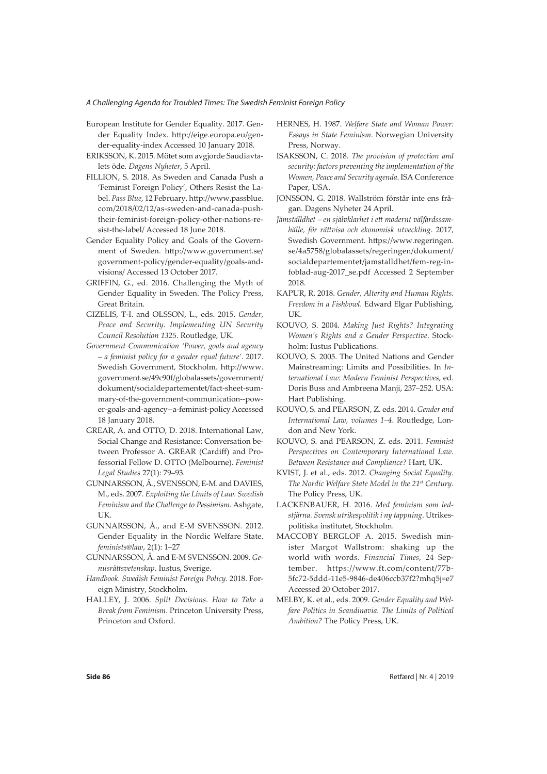- European Institute for Gender Equality. 2017. Gender Equality Index. http://eige.europa.eu/gender-equality-index Accessed 10 January 2018.
- ERIKSSON, K. 2015. Mötet som avgjorde Saudiavtalets öde. *Dagens Nyheter*, 5 April.
- FILLION, S. 2018. As Sweden and Canada Push a 'Feminist Foreign Policy', Others Resist the Label. *Pass Blue*, 12 February. http://www.passblue. com/2018/02/12/as-sweden-and-canada-pushtheir-feminist-foreign-policy-other-nations-resist-the-label/ Accessed 18 June 2018.
- Gender Equality Policy and Goals of the Government of Sweden. http://www.government.se/ government-policy/gender-equality/goals-andvisions/ Accessed 13 October 2017.
- GRIFFIN, G., ed. 2016. Challenging the Myth of Gender Equality in Sweden. The Policy Press, Great Britain.
- GIZELIS, T-I. and OLSSON, L., eds. 2015. *Gender, Peace and Security. Implementing UN Security Council Resolution 1325*. Routledge, UK.
- *Government Communication 'Power, goals and agency – a feminist policy for a gender equal future'*. 2017. Swedish Government, Stockholm. http://www. government.se/49c90f/globalassets/government/ dokument/socialdepartementet/fact-sheet-summary-of-the-government-communication--power-goals-and-agency--a-feminist-policy Accessed 18 January 2018.
- GREAR, A. and OTTO, D. 2018. International Law, Social Change and Resistance: Conversation between Professor A. GREAR (Cardiff) and Professorial Fellow D. OTTO (Melbourne). *Feminist Legal Studies* 27(1): 79–93.
- GUNNARSSON, Å., SVENSSON, E-M. and DAVIES, M., eds. 2007. *Exploiting the Limits of Law. Swedish Feminism and the Challenge to Pessimism*. Ashgate, UK.
- GUNNARSSON, Å., and E-M SVENSSON. 2012. Gender Equality in the Nordic Welfare State. *feminists@law*, 2(1): 1–27
- GUNNARSSON, Å. and E-M SVENSSON. 2009. *Genusrättsvetenskap*. Iustus, Sverige.
- *Handbook. Swedish Feminist Foreign Policy*. 2018. Foreign Ministry, Stockholm.
- HALLEY, J. 2006. *Split Decisions. How to Take a Break from Feminism*. Princeton University Press, Princeton and Oxford.
- HERNES, H. 1987. *Welfare State and Woman Power: Essays in State Feminism*. Norwegian University Press, Norway.
- ISAKSSON, C. 2018. *The provision of protection and security: factors preventing the implementation of the Women, Peace and Security agenda*. ISA Conference Paper, USA.
- JONSSON, G. 2018. Wallström förstår inte ens frågan. Dagens Nyheter 24 April.
- *Jämställdhet en självklarhet i ett modernt välfärdssamhälle, för rättvisa och ekonomisk utveckling*. 2017, Swedish Government. https://www.regeringen. se/4a5758/globalassets/regeringen/dokument/ socialdepartementet/jamstalldhet/fem-reg-infoblad-aug-2017\_se.pdf Accessed 2 September 2018.
- KAPUR, R. 2018. *Gender, Alterity and Human Rights. Freedom in a Fishbowl*. Edward Elgar Publishing, UK.
- KOUVO, S. 2004. *Making Just Rights? Integrating Women's Rights and a Gender Perspective*. Stockholm: Iustus Publications.
- KOUVO, S. 2005. The United Nations and Gender Mainstreaming: Limits and Possibilities. In *International Law: Modern Feminist Perspectives*, ed. Doris Buss and Ambreena Manji, 237–252. USA: Hart Publishing.
- KOUVO, S. and PEARSON, Z. eds. 2014. *Gender and International Law, volumes 1–4*. Routledge, London and New York.
- KOUVO, S. and PEARSON, Z. eds. 2011. *Feminist Perspectives on Contemporary International Law. Between Resistance and Compliance?* Hart, UK.
- KVIST, J. et al., eds. 2012. *Changing Social Equality. The Nordic Welfare State Model in the 21st Century*. The Policy Press, UK.
- LACKENBAUER, H. 2016. *Med feminism som ledstjärna. Svensk utrikespolitik i ny tappning*. Utrikespolitiska institutet, Stockholm.
- MACCOBY BERGLOF A. 2015. Swedish minister Margot Wallstrom: shaking up the world with words. *Financial Times*, 24 September. https://www.ft.com/content/77b-5fc72-5ddd-11e5-9846-de406ccb37f2?mhq5j=e7 Accessed 20 October 2017.
- MELBY, K. et al., eds. 2009. *Gender Equality and Welfare Politics in Scandinavia. The Limits of Political Ambition?* The Policy Press, UK.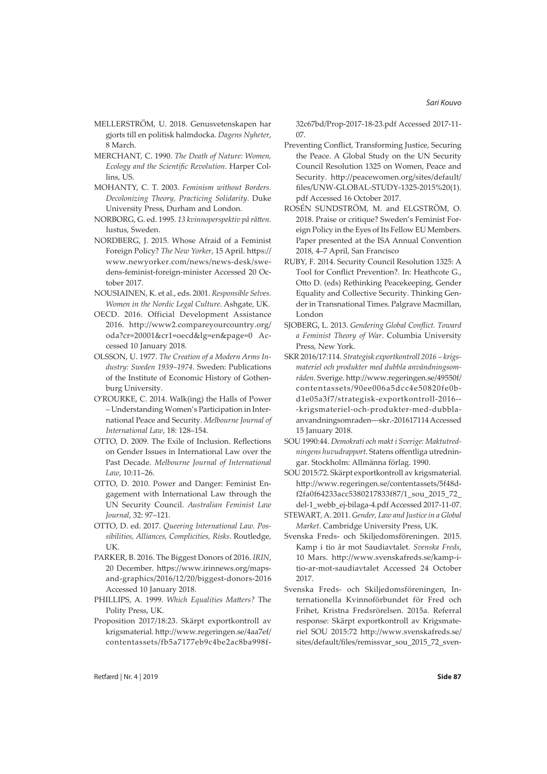- MELLERSTRÖM, U. 2018. Genusvetenskapen har gjorts till en politisk halmdocka. *Dagens Nyheter*, 8 March.
- MERCHANT, C. 1990. *The Death of Nature: Women, Ecology and the Scientific Revolution*. Harper Collins, US.
- MOHANTY, C. T. 2003. *Feminism without Borders. Decolonizing Theory, Practicing Solidarity*. Duke University Press, Durham and London.
- NORBORG, G. ed. 1995. *13 kvinnoperspektiv på rätten*. Iustus, Sweden.
- NORDBERG, J. 2015. Whose Afraid of a Feminist Foreign Policy? *The New Yorker*, 15 April. https:// www.newyorker.com/news/news-desk/swedens-feminist-foreign-minister Accessed 20 October 2017.
- NOUSIAINEN, K. et al., eds. 2001. *Responsible Selves. Women in the Nordic Legal Culture*. Ashgate, UK.
- OECD. 2016. Official Development Assistance 2016. http://www2.compareyourcountry.org/ oda?cr=20001&cr1=oecd&lg=en&page=0 Accessed 10 January 2018.
- OLSSON, U. 1977. *The Creation of a Modern Arms Industry: Sweden 1939–1974*. Sweden: Publications of the Institute of Economic History of Gothenburg University.
- O'ROURKE, C. 2014. Walk(ing) the Halls of Power – Understanding Women's Participation in International Peace and Security. *Melbourne Journal of International Law*, 18: 128–154.
- OTTO, D. 2009. The Exile of Inclusion. Reflections on Gender Issues in International Law over the Past Decade. *Melbourne Journal of International Law*, 10:11–26.
- OTTO, D. 2010. Power and Danger: Feminist Engagement with International Law through the UN Security Council. *Australian Feminist Law Journal*, 32: 97–121.
- OTTO, D. ed. 2017. *Queering International Law. Possibilities, Alliances, Complicities, Risks*. Routledge, UK.
- PARKER, B. 2016. The Biggest Donors of 2016. *IRIN*, 20 December. https://www.irinnews.org/mapsand-graphics/2016/12/20/biggest-donors-2016 Accessed 10 January 2018.
- PHILLIPS, A. 1999. *Which Equalities Matters?* The Polity Press, UK.
- Proposition 2017/18:23. Skärpt exportkontroll av krigsmaterial. http://www.regeringen.se/4aa7ef/ contentassets/fb5a7177eb9c4be2ac8ba998f-

32c67bd/Prop-2017-18-23.pdf Accessed 2017-11- 07.

- Preventing Conflict, Transforming Justice, Securing the Peace. A Global Study on the UN Security Council Resolution 1325 on Women, Peace and Security. http://peacewomen.org/sites/default/ files/UNW-GLOBAL-STUDY-1325-2015%20(1). pdf Accessed 16 October 2017.
- ROSÉN SUNDSTRÖM, M. and ELGSTRÖM, O. 2018. Praise or critique? Sweden's Feminist Foreign Policy in the Eyes of Its Fellow EU Members. Paper presented at the ISA Annual Convention 2018, 4–7 April, San Francisco
- RUBY, F. 2014. Security Council Resolution 1325: A Tool for Conflict Prevention?. In: Heathcote G., Otto D. (eds) Rethinking Peacekeeping, Gender Equality and Collective Security. Thinking Gender in Transnational Times. Palgrave Macmillan, London
- SJOBERG, L. 2013. *Gendering Global Conflict. Toward a Feminist Theory of War*. Columbia University Press, New York.
- SKR 2016/17:114. *Strategisk exportkontroll 2016 krigsmateriel och produkter med dubbla användningsområden*. Sverige. http://www.regeringen.se/49550f/ contentassets/90ee006a5dcc4e50820fe0bd1e05a3f7/strategisk-exportkontroll-2016-- -krigsmateriel-och-produkter-med-dubblaanvandningsomraden---skr.-201617114Accessed 15 January 2018.
- SOU 1990:44. *Demokrati och makt i Sverige: Maktutredningens huvudrapport*. Statens offentliga utredningar. Stockholm: Allmänna förlag. 1990.
- SOU 2015:72. Skärpt exportkontroll av krigsmaterial. http://www.regeringen.se/contentassets/5f48df2fa0f64233acc5380217833f87/1\_sou\_2015\_72\_ del-1\_webb\_ej-bilaga-4.pdf Accessed 2017-11-07.
- STEWART,A. 2011. *Gender, Law and Justice in a Global Market*. Cambridge University Press, UK.
- Svenska Freds- och Skiljedomsföreningen. 2015. Kamp i tio år mot Saudiavtalet. *Svenska Freds*, 10 Mars. http://www.svenskafreds.se/kamp-itio-ar-mot-saudiavtalet Accessed 24 October 2017.
- Svenska Freds- och Skiljedomsföreningen, Internationella Kvinnoförbundet för Fred och Frihet, Kristna Fredsrörelsen. 2015a. Referral response: Skärpt exportkontroll av Krigsmateriel SOU 2015:72 http://www.svenskafreds.se/ sites/default/files/remissvar\_sou\_2015\_72\_sven-